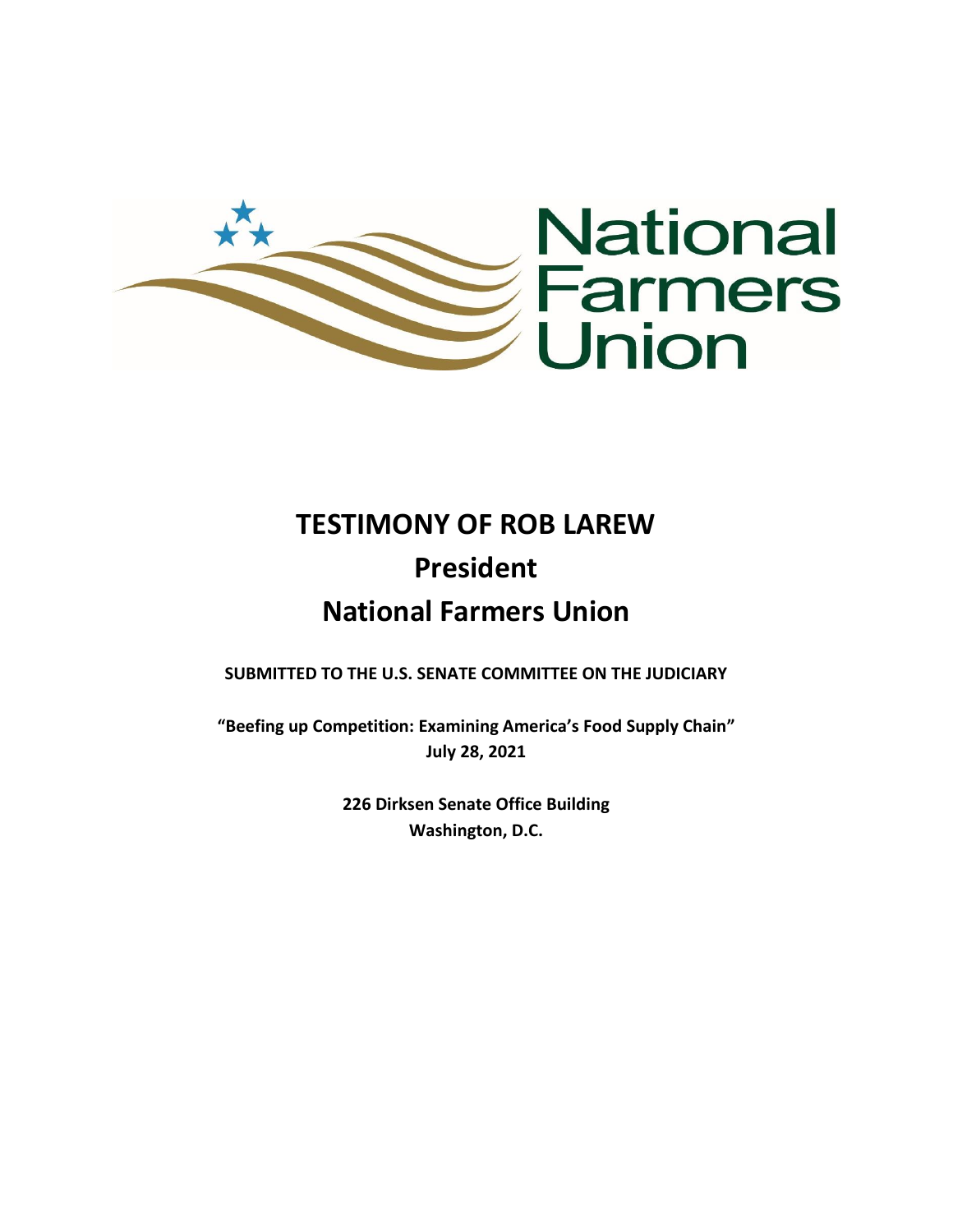

# **TESTIMONY OF ROB LAREW President National Farmers Union**

**SUBMITTED TO THE U.S. SENATE COMMITTEE ON THE JUDICIARY** 

**"Beefing up Competition: Examining America's Food Supply Chain" July 28, 2021**

> **226 Dirksen Senate Office Building Washington, D.C.**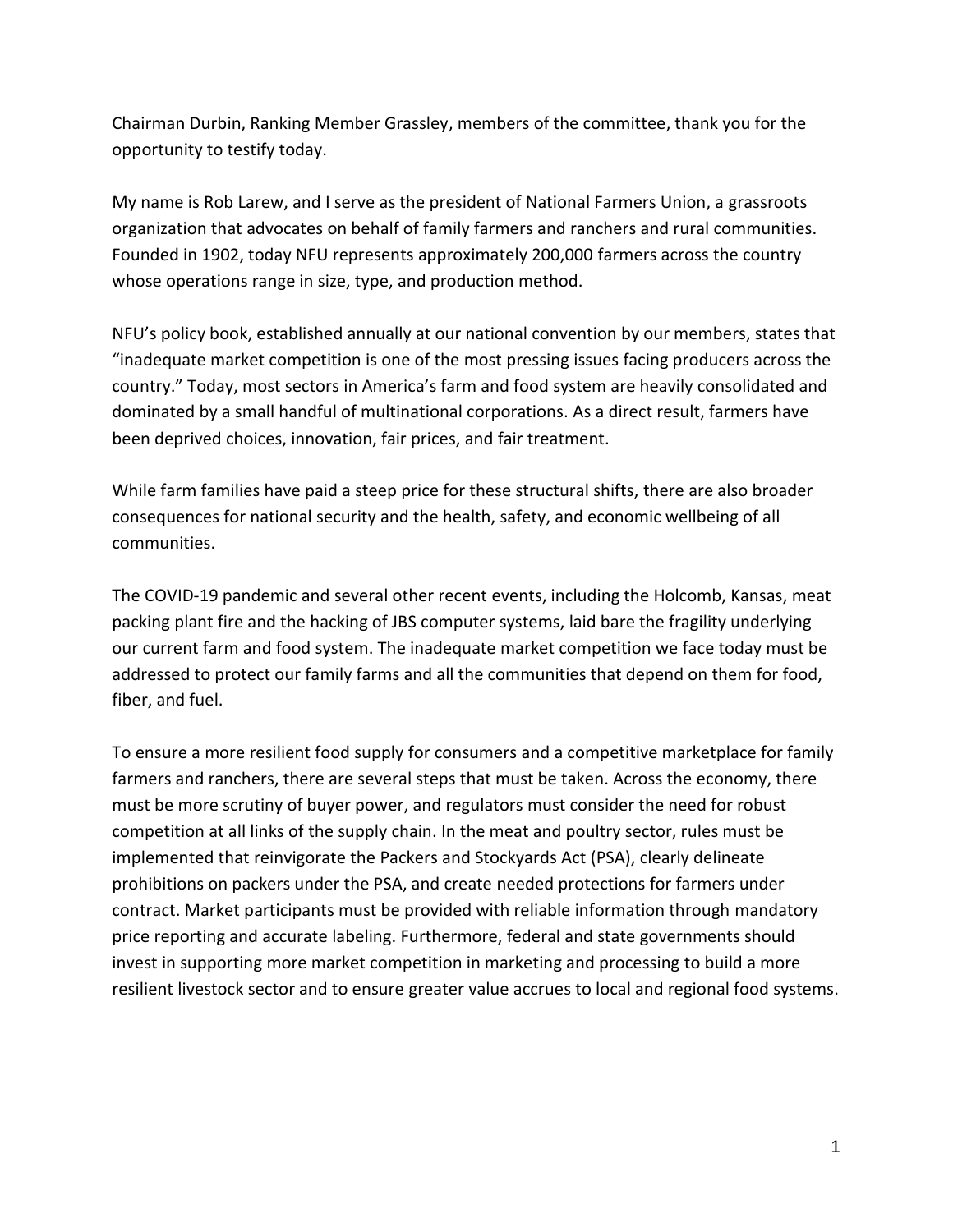Chairman Durbin, Ranking Member Grassley, members of the committee, thank you for the opportunity to testify today.

My name is Rob Larew, and I serve as the president of National Farmers Union, a grassroots organization that advocates on behalf of family farmers and ranchers and rural communities. Founded in 1902, today NFU represents approximately 200,000 farmers across the country whose operations range in size, type, and production method.

NFU's policy book, established annually at our national convention by our members, states that "inadequate market competition is one of the most pressing issues facing producers across the country." Today, most sectors in America's farm and food system are heavily consolidated and dominated by a small handful of multinational corporations. As a direct result, farmers have been deprived choices, innovation, fair prices, and fair treatment.

While farm families have paid a steep price for these structural shifts, there are also broader consequences for national security and the health, safety, and economic wellbeing of all communities.

The COVID-19 pandemic and several other recent events, including the Holcomb, Kansas, meat packing plant fire and the hacking of JBS computer systems, laid bare the fragility underlying our current farm and food system. The inadequate market competition we face today must be addressed to protect our family farms and all the communities that depend on them for food, fiber, and fuel.

To ensure a more resilient food supply for consumers and a competitive marketplace for family farmers and ranchers, there are several steps that must be taken. Across the economy, there must be more scrutiny of buyer power, and regulators must consider the need for robust competition at all links of the supply chain. In the meat and poultry sector, rules must be implemented that reinvigorate the Packers and Stockyards Act (PSA), clearly delineate prohibitions on packers under the PSA, and create needed protections for farmers under contract. Market participants must be provided with reliable information through mandatory price reporting and accurate labeling. Furthermore, federal and state governments should invest in supporting more market competition in marketing and processing to build a more resilient livestock sector and to ensure greater value accrues to local and regional food systems.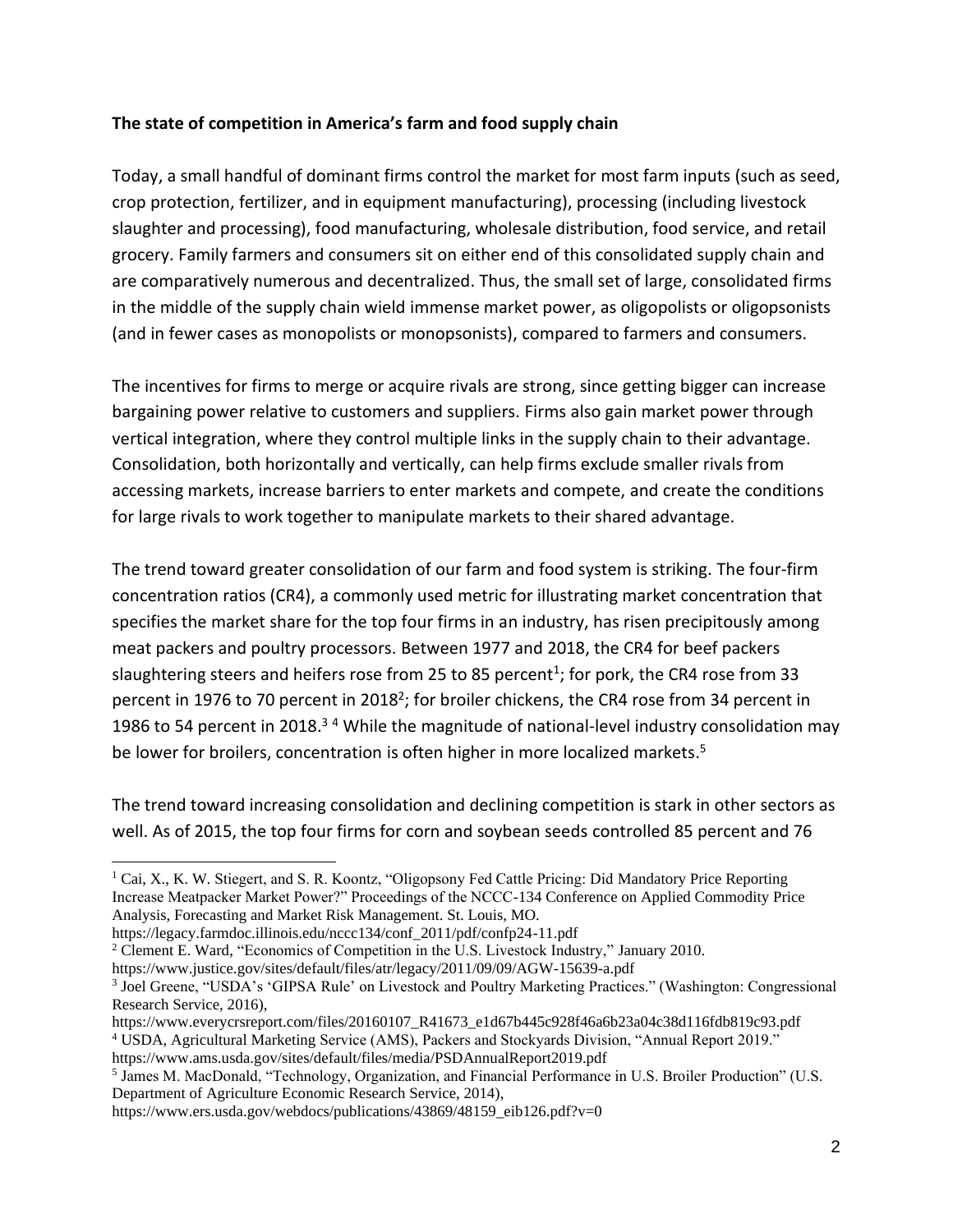#### **The state of competition in America's farm and food supply chain**

Today, a small handful of dominant firms control the market for most farm inputs (such as seed, crop protection, fertilizer, and in equipment manufacturing), processing (including livestock slaughter and processing), food manufacturing, wholesale distribution, food service, and retail grocery. Family farmers and consumers sit on either end of this consolidated supply chain and are comparatively numerous and decentralized. Thus, the small set of large, consolidated firms in the middle of the supply chain wield immense market power, as oligopolists or oligopsonists (and in fewer cases as monopolists or monopsonists), compared to farmers and consumers.

The incentives for firms to merge or acquire rivals are strong, since getting bigger can increase bargaining power relative to customers and suppliers. Firms also gain market power through vertical integration, where they control multiple links in the supply chain to their advantage. Consolidation, both horizontally and vertically, can help firms exclude smaller rivals from accessing markets, increase barriers to enter markets and compete, and create the conditions for large rivals to work together to manipulate markets to their shared advantage.

The trend toward greater consolidation of our farm and food system is striking. The four-firm concentration ratios (CR4), a commonly used metric for illustrating market concentration that specifies the market share for the top four firms in an industry, has risen precipitously among meat packers and poultry processors. Between 1977 and 2018, the CR4 for beef packers slaughtering steers and heifers rose from 25 to 85 percent<sup>1</sup>; for pork, the CR4 rose from 33 percent in 1976 to 70 percent in 2018<sup>2</sup>; for broiler chickens, the CR4 rose from 34 percent in 1986 to 54 percent in 2018.<sup>34</sup> While the magnitude of national-level industry consolidation may be lower for broilers, concentration is often higher in more localized markets.<sup>5</sup>

The trend toward increasing consolidation and declining competition is stark in other sectors as well. As of 2015, the top four firms for corn and soybean seeds controlled 85 percent and 76

<sup>&</sup>lt;sup>1</sup> Cai, X., K. W. Stiegert, and S. R. Koontz, "Oligopsony Fed Cattle Pricing: Did Mandatory Price Reporting Increase Meatpacker Market Power?" Proceedings of the NCCC-134 Conference on Applied Commodity Price Analysis, Forecasting and Market Risk Management. St. Louis, MO.

https://legacy.farmdoc.illinois.edu/nccc134/conf\_2011/pdf/confp24-11.pdf

<sup>2</sup> Clement E. Ward, "Economics of Competition in the U.S. Livestock Industry," January 2010.

https://www.justice.gov/sites/default/files/atr/legacy/2011/09/09/AGW-15639-a.pdf

<sup>3</sup> Joel Greene, "USDA's 'GIPSA Rule' on Livestock and Poultry Marketing Practices." (Washington: Congressional Research Service, 2016),

https://www.everycrsreport.com/files/20160107\_R41673\_e1d67b445c928f46a6b23a04c38d116fdb819c93.pdf <sup>4</sup> USDA, Agricultural Marketing Service (AMS), Packers and Stockyards Division, "Annual Report 2019." https://www.ams.usda.gov/sites/default/files/media/PSDAnnualReport2019.pdf

<sup>&</sup>lt;sup>5</sup> James M. MacDonald, "Technology, Organization, and Financial Performance in U.S. Broiler Production" (U.S. Department of Agriculture Economic Research Service, 2014),

https://www.ers.usda.gov/webdocs/publications/43869/48159\_eib126.pdf?v=0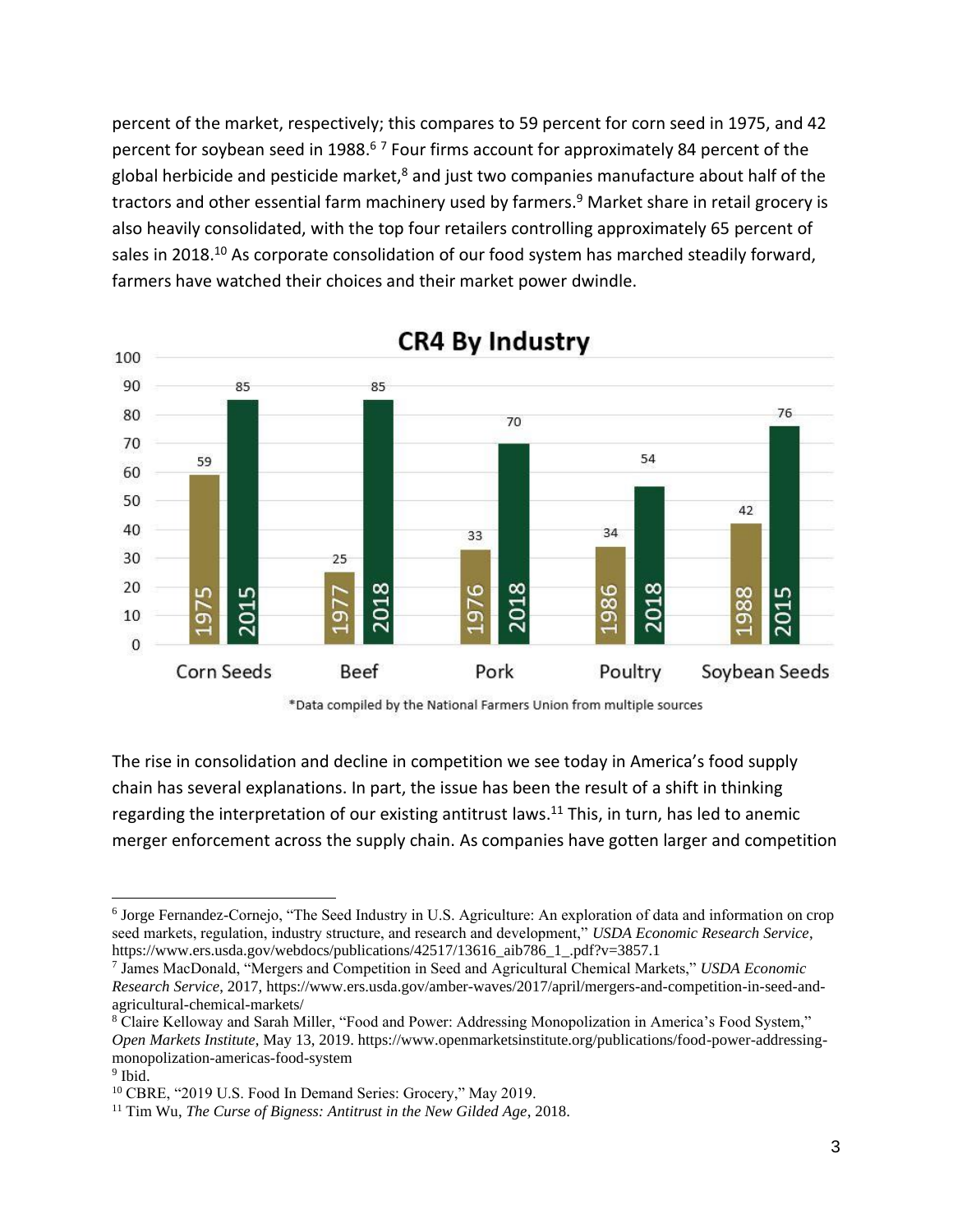percent of the market, respectively; this compares to 59 percent for corn seed in 1975, and 42 percent for soybean seed in 1988.<sup>67</sup> Four firms account for approximately 84 percent of the global herbicide and pesticide market, $8$  and just two companies manufacture about half of the tractors and other essential farm machinery used by farmers.<sup>9</sup> Market share in retail grocery is also heavily consolidated, with the top four retailers controlling approximately 65 percent of sales in 2018.<sup>10</sup> As corporate consolidation of our food system has marched steadily forward, farmers have watched their choices and their market power dwindle.



# **CR4 By Industry**



The rise in consolidation and decline in competition we see today in America's food supply chain has several explanations. In part, the issue has been the result of a shift in thinking regarding the interpretation of our existing antitrust laws.<sup>11</sup> This, in turn, has led to anemic merger enforcement across the supply chain. As companies have gotten larger and competition

<sup>6</sup> Jorge Fernandez-Cornejo, "The Seed Industry in U.S. Agriculture: An exploration of data and information on crop seed markets, regulation, industry structure, and research and development," *USDA Economic Research Service*, https://www.ers.usda.gov/webdocs/publications/42517/13616\_aib786\_1\_.pdf?v=3857.1

<sup>7</sup> James MacDonald, "Mergers and Competition in Seed and Agricultural Chemical Markets," *USDA Economic Research Service*, 2017, https://www.ers.usda.gov/amber-waves/2017/april/mergers-and-competition-in-seed-andagricultural-chemical-markets/

<sup>8</sup> Claire Kelloway and Sarah Miller, "Food and Power: Addressing Monopolization in America's Food System," *Open Markets Institute*, May 13, 2019. https://www.openmarketsinstitute.org/publications/food-power-addressingmonopolization-americas-food-system

<sup>&</sup>lt;sup>9</sup> Ibid.

<sup>&</sup>lt;sup>10</sup> CBRE, "2019 U.S. Food In Demand Series: Grocery," May 2019.

<sup>11</sup> Tim Wu, *The Curse of Bigness: Antitrust in the New Gilded Age*, 2018.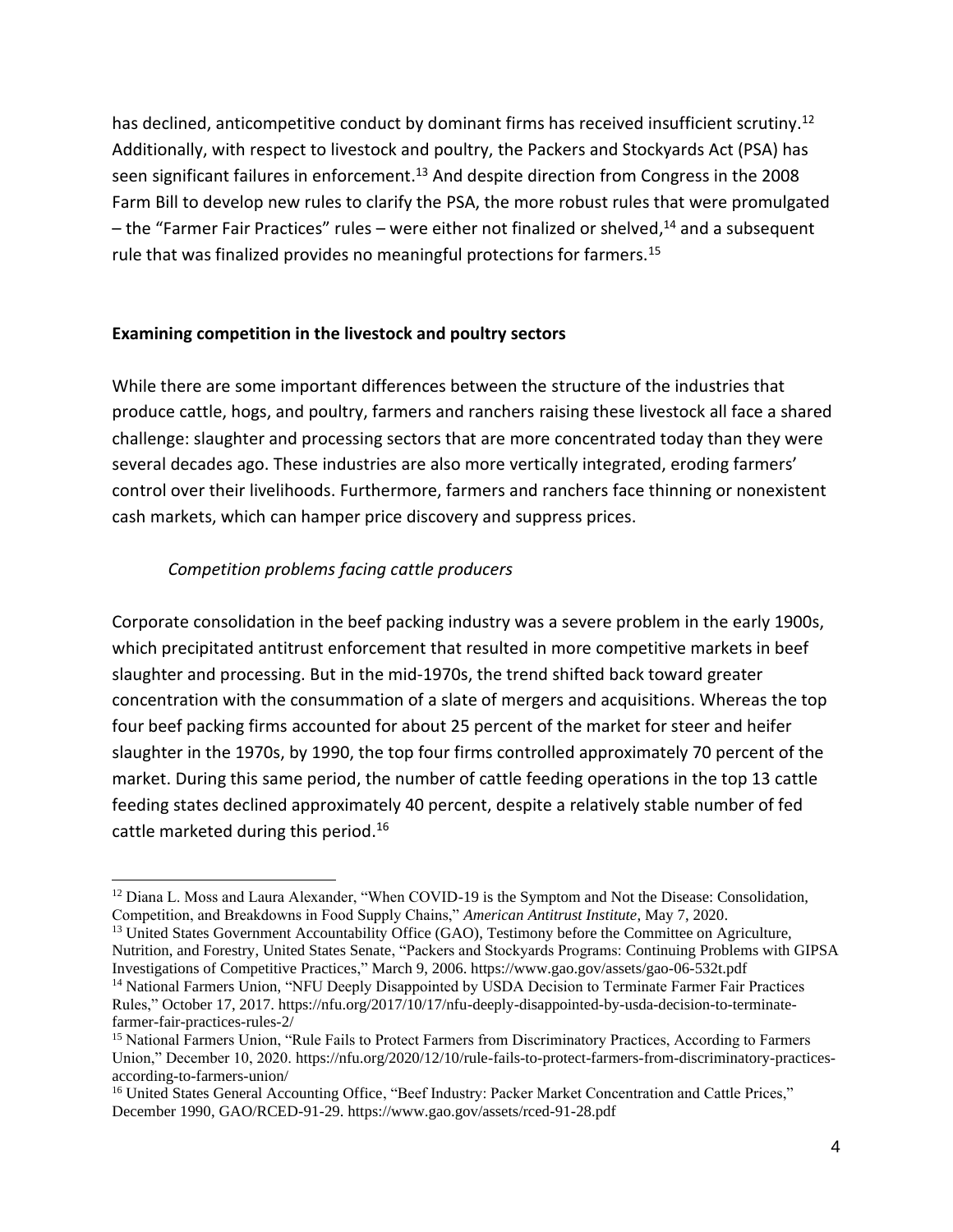has declined, anticompetitive conduct by dominant firms has received insufficient scrutiny.<sup>12</sup> Additionally, with respect to livestock and poultry, the Packers and Stockyards Act (PSA) has seen significant failures in enforcement.<sup>13</sup> And despite direction from Congress in the 2008 Farm Bill to develop new rules to clarify the PSA, the more robust rules that were promulgated – the "Farmer Fair Practices" rules – were either not finalized or shelved,<sup>14</sup> and a subsequent rule that was finalized provides no meaningful protections for farmers.<sup>15</sup>

#### **Examining competition in the livestock and poultry sectors**

While there are some important differences between the structure of the industries that produce cattle, hogs, and poultry, farmers and ranchers raising these livestock all face a shared challenge: slaughter and processing sectors that are more concentrated today than they were several decades ago. These industries are also more vertically integrated, eroding farmers' control over their livelihoods. Furthermore, farmers and ranchers face thinning or nonexistent cash markets, which can hamper price discovery and suppress prices.

#### *Competition problems facing cattle producers*

Corporate consolidation in the beef packing industry was a severe problem in the early 1900s, which precipitated antitrust enforcement that resulted in more competitive markets in beef slaughter and processing. But in the mid-1970s, the trend shifted back toward greater concentration with the consummation of a slate of mergers and acquisitions. Whereas the top four beef packing firms accounted for about 25 percent of the market for steer and heifer slaughter in the 1970s, by 1990, the top four firms controlled approximately 70 percent of the market. During this same period, the number of cattle feeding operations in the top 13 cattle feeding states declined approximately 40 percent, despite a relatively stable number of fed cattle marketed during this period.<sup>16</sup>

<sup>&</sup>lt;sup>12</sup> Diana L. Moss and Laura Alexander, "When COVID-19 is the Symptom and Not the Disease: Consolidation, Competition, and Breakdowns in Food Supply Chains," *American Antitrust Institute*, May 7, 2020.

<sup>&</sup>lt;sup>13</sup> United States Government Accountability Office (GAO), Testimony before the Committee on Agriculture, Nutrition, and Forestry, United States Senate, "Packers and Stockyards Programs: Continuing Problems with GIPSA Investigations of Competitive Practices," March 9, 2006. https://www.gao.gov/assets/gao-06-532t.pdf <sup>14</sup> National Farmers Union, "NFU Deeply Disappointed by USDA Decision to Terminate Farmer Fair Practices Rules," October 17, 2017. https://nfu.org/2017/10/17/nfu-deeply-disappointed-by-usda-decision-to-terminatefarmer-fair-practices-rules-2/

<sup>15</sup> National Farmers Union, "Rule Fails to Protect Farmers from Discriminatory Practices, According to Farmers Union," December 10, 2020. https://nfu.org/2020/12/10/rule-fails-to-protect-farmers-from-discriminatory-practicesaccording-to-farmers-union/

<sup>&</sup>lt;sup>16</sup> United States General Accounting Office, "Beef Industry: Packer Market Concentration and Cattle Prices," December 1990, GAO/RCED-91-29. https://www.gao.gov/assets/rced-91-28.pdf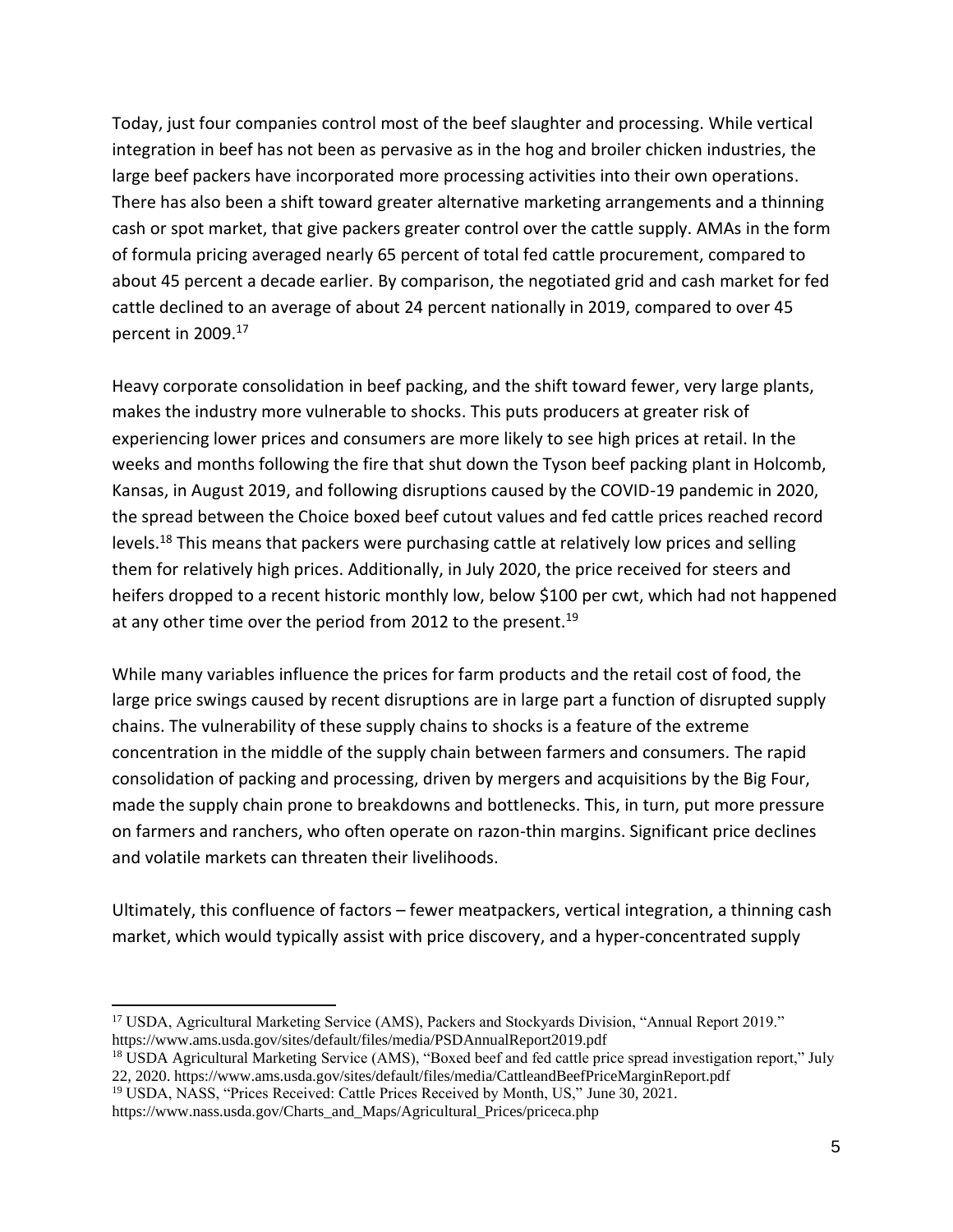Today, just four companies control most of the beef slaughter and processing. While vertical integration in beef has not been as pervasive as in the hog and broiler chicken industries, the large beef packers have incorporated more processing activities into their own operations. There has also been a shift toward greater alternative marketing arrangements and a thinning cash or spot market, that give packers greater control over the cattle supply. AMAs in the form of formula pricing averaged nearly 65 percent of total fed cattle procurement, compared to about 45 percent a decade earlier. By comparison, the negotiated grid and cash market for fed cattle declined to an average of about 24 percent nationally in 2019, compared to over 45 percent in 2009.<sup>17</sup>

Heavy corporate consolidation in beef packing, and the shift toward fewer, very large plants, makes the industry more vulnerable to shocks. This puts producers at greater risk of experiencing lower prices and consumers are more likely to see high prices at retail. In the weeks and months following the fire that shut down the Tyson beef packing plant in Holcomb, Kansas, in August 2019, and following disruptions caused by the COVID-19 pandemic in 2020, the spread between the Choice boxed beef cutout values and fed cattle prices reached record levels.<sup>18</sup> This means that packers were purchasing cattle at relatively low prices and selling them for relatively high prices. Additionally, in July 2020, the price received for steers and heifers dropped to a recent historic monthly low, below \$100 per cwt, which had not happened at any other time over the period from 2012 to the present.<sup>19</sup>

While many variables influence the prices for farm products and the retail cost of food, the large price swings caused by recent disruptions are in large part a function of disrupted supply chains. The vulnerability of these supply chains to shocks is a feature of the extreme concentration in the middle of the supply chain between farmers and consumers. The rapid consolidation of packing and processing, driven by mergers and acquisitions by the Big Four, made the supply chain prone to breakdowns and bottlenecks. This, in turn, put more pressure on farmers and ranchers, who often operate on razon-thin margins. Significant price declines and volatile markets can threaten their livelihoods.

Ultimately, this confluence of factors – fewer meatpackers, vertical integration, a thinning cash market, which would typically assist with price discovery, and a hyper-concentrated supply

<sup>17</sup> USDA, Agricultural Marketing Service (AMS), Packers and Stockyards Division, "Annual Report 2019." https://www.ams.usda.gov/sites/default/files/media/PSDAnnualReport2019.pdf

<sup>&</sup>lt;sup>18</sup> USDA Agricultural Marketing Service (AMS), "Boxed beef and fed cattle price spread investigation report," July 22, 2020. https://www.ams.usda.gov/sites/default/files/media/CattleandBeefPriceMarginReport.pdf

<sup>&</sup>lt;sup>19</sup> USDA, NASS, "Prices Received: Cattle Prices Received by Month, US," June 30, 2021.

https://www.nass.usda.gov/Charts\_and\_Maps/Agricultural\_Prices/priceca.php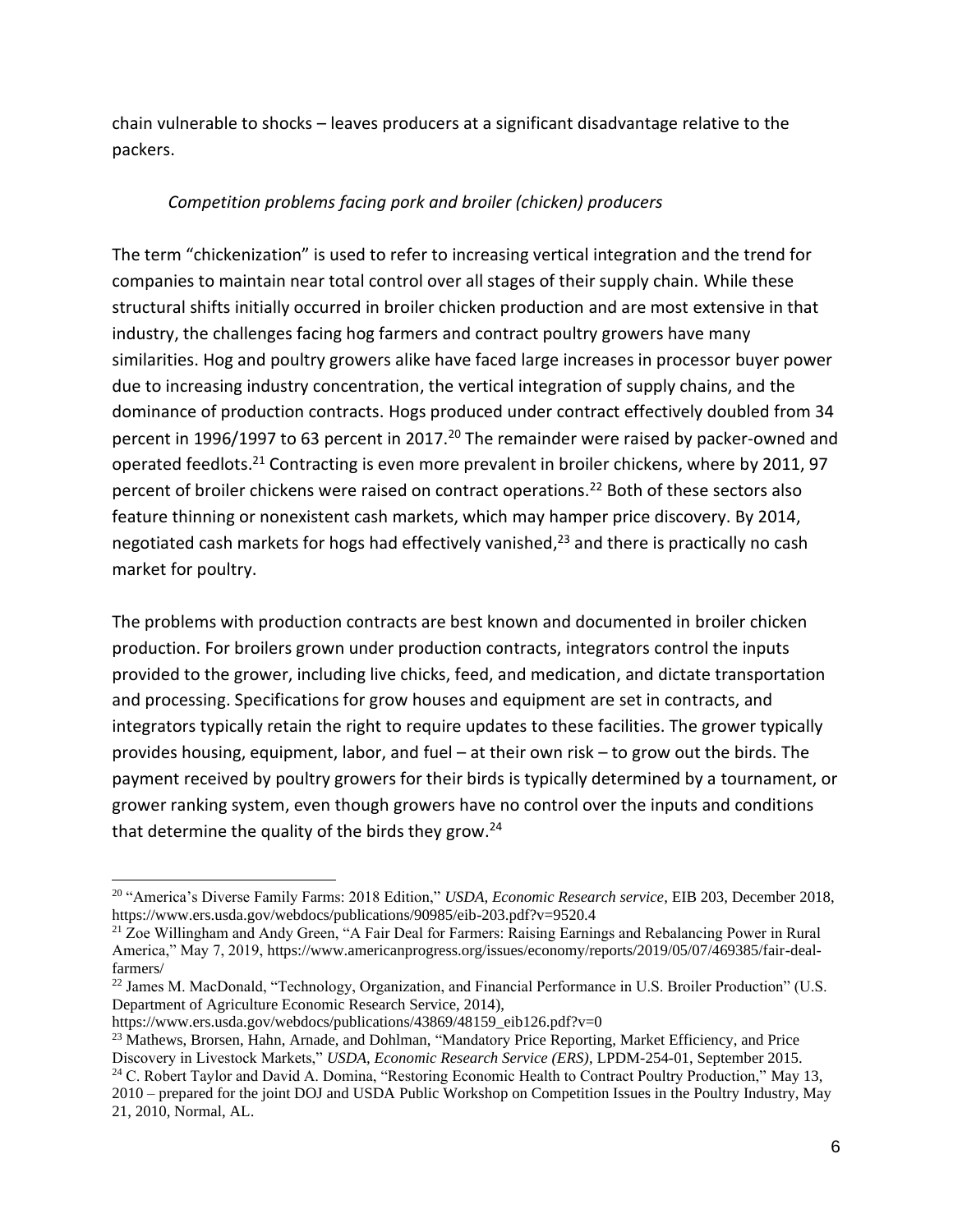chain vulnerable to shocks – leaves producers at a significant disadvantage relative to the packers.

#### *Competition problems facing pork and broiler (chicken) producers*

The term "chickenization" is used to refer to increasing vertical integration and the trend for companies to maintain near total control over all stages of their supply chain. While these structural shifts initially occurred in broiler chicken production and are most extensive in that industry, the challenges facing hog farmers and contract poultry growers have many similarities. Hog and poultry growers alike have faced large increases in processor buyer power due to increasing industry concentration, the vertical integration of supply chains, and the dominance of production contracts. Hogs produced under contract effectively doubled from 34 percent in 1996/1997 to 63 percent in 2017.<sup>20</sup> The remainder were raised by packer-owned and operated feedlots.<sup>21</sup> Contracting is even more prevalent in broiler chickens, where by 2011, 97 percent of broiler chickens were raised on contract operations.<sup>22</sup> Both of these sectors also feature thinning or nonexistent cash markets, which may hamper price discovery. By 2014, negotiated cash markets for hogs had effectively vanished,<sup>23</sup> and there is practically no cash market for poultry.

The problems with production contracts are best known and documented in broiler chicken production. For broilers grown under production contracts, integrators control the inputs provided to the grower, including live chicks, feed, and medication, and dictate transportation and processing. Specifications for grow houses and equipment are set in contracts, and integrators typically retain the right to require updates to these facilities. The grower typically provides housing, equipment, labor, and fuel – at their own risk – to grow out the birds. The payment received by poultry growers for their birds is typically determined by a tournament, or grower ranking system, even though growers have no control over the inputs and conditions that determine the quality of the birds they grow.<sup>24</sup>

<sup>20</sup> "America's Diverse Family Farms: 2018 Edition," *USDA, Economic Research service*, EIB 203, December 2018, https://www.ers.usda.gov/webdocs/publications/90985/eib-203.pdf?v=9520.4

<sup>21</sup> Zoe Willingham and Andy Green, "A Fair Deal for Farmers: Raising Earnings and Rebalancing Power in Rural America," May 7, 2019, https://www.americanprogress.org/issues/economy/reports/2019/05/07/469385/fair-dealfarmers/

<sup>22</sup> James M. MacDonald, "Technology, Organization, and Financial Performance in U.S. Broiler Production" (U.S. Department of Agriculture Economic Research Service, 2014),

https://www.ers.usda.gov/webdocs/publications/43869/48159\_eib126.pdf?v=0

<sup>&</sup>lt;sup>23</sup> Mathews, Brorsen, Hahn, Arnade, and Dohlman, "Mandatory Price Reporting, Market Efficiency, and Price Discovery in Livestock Markets," *USDA, Economic Research Service (ERS)*, LPDM-254-01, September 2015.

<sup>&</sup>lt;sup>24</sup> C. Robert Taylor and David A. Domina, "Restoring Economic Health to Contract Poultry Production," May 13, 2010 – prepared for the joint DOJ and USDA Public Workshop on Competition Issues in the Poultry Industry, May 21, 2010, Normal, AL.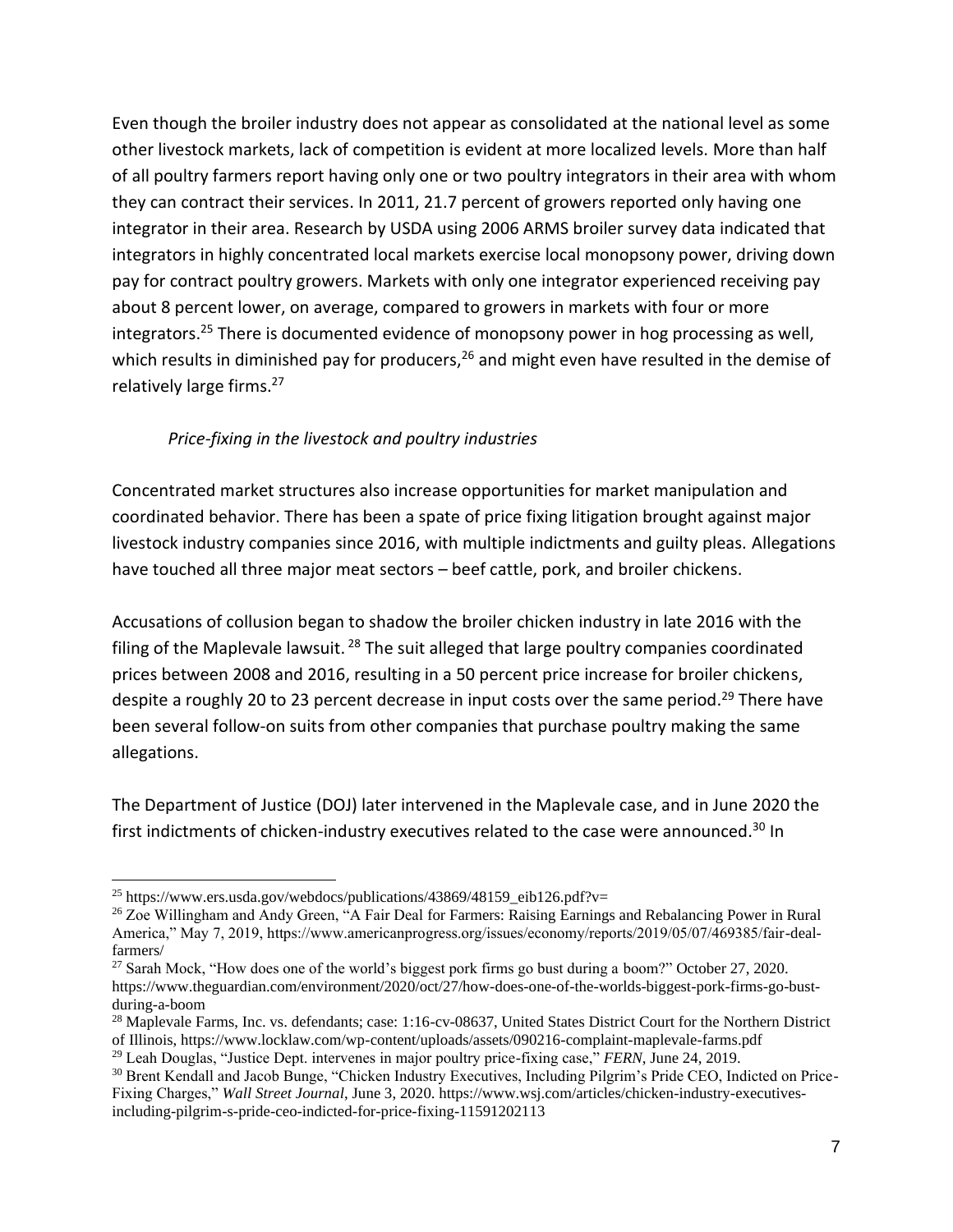Even though the broiler industry does not appear as consolidated at the national level as some other livestock markets, lack of competition is evident at more localized levels. More than half of all poultry farmers report having only one or two poultry integrators in their area with whom they can contract their services. In 2011, 21.7 percent of growers reported only having one integrator in their area. Research by USDA using 2006 ARMS broiler survey data indicated that integrators in highly concentrated local markets exercise local monopsony power, driving down pay for contract poultry growers. Markets with only one integrator experienced receiving pay about 8 percent lower, on average, compared to growers in markets with four or more integrators.<sup>25</sup> There is documented evidence of monopsony power in hog processing as well, which results in diminished pay for producers,  $26$  and might even have resulted in the demise of relatively large firms.<sup>27</sup>

#### *Price-fixing in the livestock and poultry industries*

Concentrated market structures also increase opportunities for market manipulation and coordinated behavior. There has been a spate of price fixing litigation brought against major livestock industry companies since 2016, with multiple indictments and guilty pleas. Allegations have touched all three major meat sectors – beef cattle, pork, and broiler chickens.

Accusations of collusion began to shadow the broiler chicken industry in late 2016 with the filing of the Maplevale lawsuit.<sup>28</sup> The suit alleged that large poultry companies coordinated prices between 2008 and 2016, resulting in a 50 percent price increase for broiler chickens, despite a roughly 20 to 23 percent decrease in input costs over the same period.<sup>29</sup> There have been several follow-on suits from other companies that purchase poultry making the same allegations.

The Department of Justice (DOJ) later intervened in the Maplevale case, and in June 2020 the first indictments of chicken-industry executives related to the case were announced. <sup>30</sup> In

<sup>&</sup>lt;sup>25</sup> https://www.ers.usda.gov/webdocs/publications/43869/48159\_eib126.pdf?v=

<sup>&</sup>lt;sup>26</sup> Zoe Willingham and Andy Green, "A Fair Deal for Farmers: Raising Earnings and Rebalancing Power in Rural America," May 7, 2019, https://www.americanprogress.org/issues/economy/reports/2019/05/07/469385/fair-dealfarmers/

<sup>&</sup>lt;sup>27</sup> Sarah Mock, "How does one of the world's biggest pork firms go bust during a boom?" October 27, 2020. https://www.theguardian.com/environment/2020/oct/27/how-does-one-of-the-worlds-biggest-pork-firms-go-bustduring-a-boom

<sup>&</sup>lt;sup>28</sup> Maplevale Farms, Inc. vs. defendants; case: 1:16-cv-08637, United States District Court for the Northern District of Illinois, https://www.locklaw.com/wp-content/uploads/assets/090216-complaint-maplevale-farms.pdf

<sup>29</sup> Leah Douglas, "Justice Dept. intervenes in major poultry price-fixing case," *FERN*, June 24, 2019.

<sup>30</sup> Brent Kendall and Jacob Bunge, "Chicken Industry Executives, Including Pilgrim's Pride CEO, Indicted on Price-Fixing Charges," *Wall Street Journal*, June 3, 2020. https://www.wsj.com/articles/chicken-industry-executivesincluding-pilgrim-s-pride-ceo-indicted-for-price-fixing-11591202113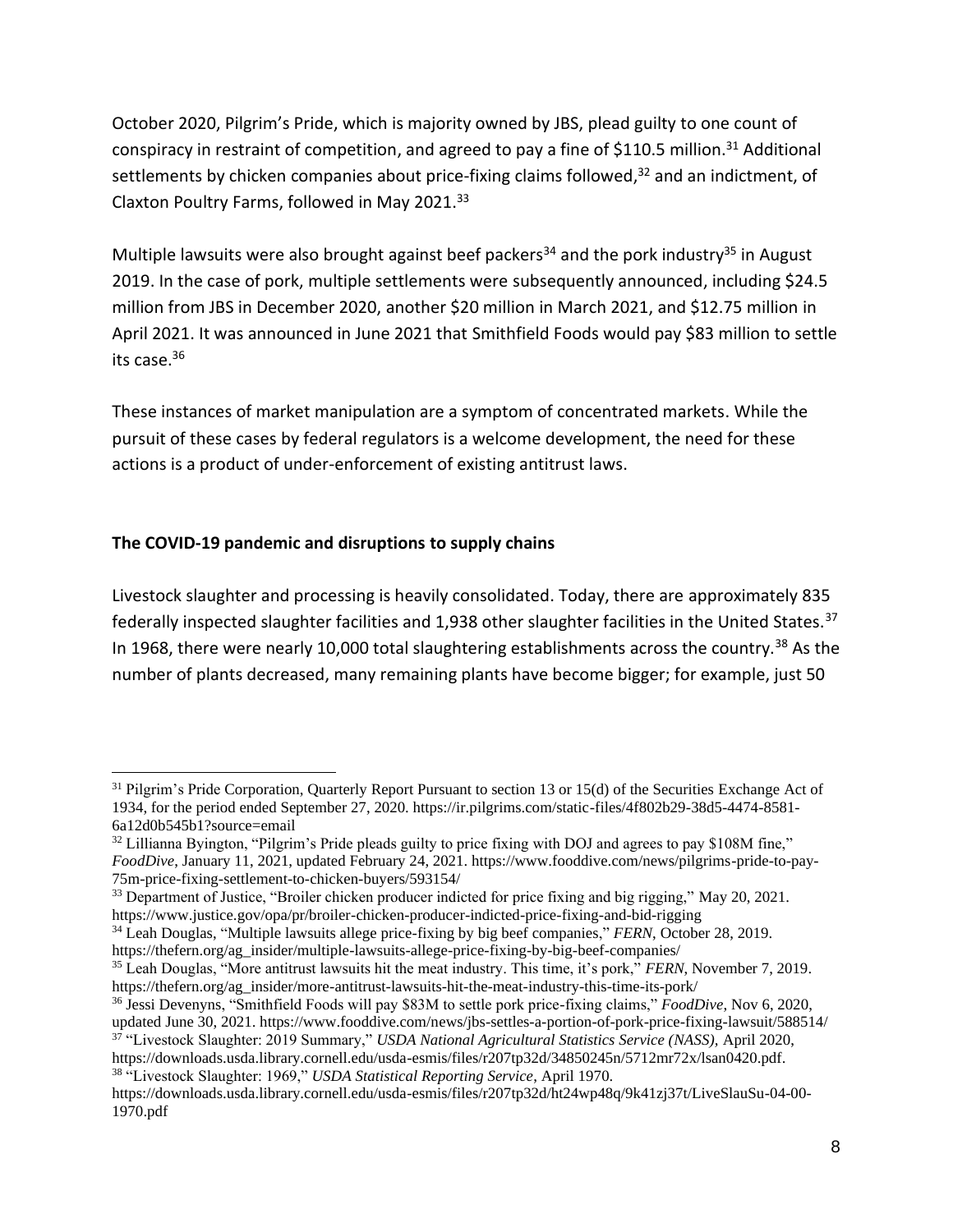October 2020, Pilgrim's Pride, which is majority owned by JBS, plead guilty to one count of conspiracy in restraint of competition, and agreed to pay a fine of \$110.5 million.<sup>31</sup> Additional settlements by chicken companies about price-fixing claims followed,<sup>32</sup> and an indictment, of Claxton Poultry Farms, followed in May 2021.<sup>33</sup>

Multiple lawsuits were also brought against beef packers<sup>34</sup> and the pork industry<sup>35</sup> in August 2019. In the case of pork, multiple settlements were subsequently announced, including \$24.5 million from JBS in December 2020, another \$20 million in March 2021, and \$12.75 million in April 2021. It was announced in June 2021 that Smithfield Foods would pay \$83 million to settle its case.<sup>36</sup>

These instances of market manipulation are a symptom of concentrated markets. While the pursuit of these cases by federal regulators is a welcome development, the need for these actions is a product of under-enforcement of existing antitrust laws.

#### **The COVID-19 pandemic and disruptions to supply chains**

Livestock slaughter and processing is heavily consolidated. Today, there are approximately 835 federally inspected slaughter facilities and 1,938 other slaughter facilities in the United States.<sup>37</sup> In 1968, there were nearly 10,000 total slaughtering establishments across the country.<sup>38</sup> As the number of plants decreased, many remaining plants have become bigger; for example, just 50

<sup>&</sup>lt;sup>31</sup> Pilgrim's Pride Corporation, Quarterly Report Pursuant to section 13 or 15(d) of the Securities Exchange Act of 1934, for the period ended September 27, 2020. https://ir.pilgrims.com/static-files/4f802b29-38d5-4474-8581- 6a12d0b545b1?source=email

 $32$  Lillianna Byington, "Pilgrim's Pride pleads guilty to price fixing with DOJ and agrees to pay \$108M fine," *FoodDive*, January 11, 2021, updated February 24, 2021. https://www.fooddive.com/news/pilgrims-pride-to-pay-75m-price-fixing-settlement-to-chicken-buyers/593154/

<sup>&</sup>lt;sup>33</sup> Department of Justice, "Broiler chicken producer indicted for price fixing and big rigging," May 20, 2021. https://www.justice.gov/opa/pr/broiler-chicken-producer-indicted-price-fixing-and-bid-rigging

<sup>34</sup> Leah Douglas, "Multiple lawsuits allege price-fixing by big beef companies," *FERN*, October 28, 2019. https://thefern.org/ag\_insider/multiple-lawsuits-allege-price-fixing-by-big-beef-companies/

<sup>35</sup> Leah Douglas, "More antitrust lawsuits hit the meat industry. This time, it's pork," *FERN*, November 7, 2019. https://thefern.org/ag\_insider/more-antitrust-lawsuits-hit-the-meat-industry-this-time-its-pork/

<sup>36</sup> Jessi Devenyns, "Smithfield Foods will pay \$83M to settle pork price-fixing claims," *FoodDive*, Nov 6, 2020, updated June 30, 2021. https://www.fooddive.com/news/jbs-settles-a-portion-of-pork-price-fixing-lawsuit/588514/

<sup>37</sup> "Livestock Slaughter: 2019 Summary," *USDA National Agricultural Statistics Service (NASS),* April 2020, https://downloads.usda.library.cornell.edu/usda-esmis/files/r207tp32d/34850245n/5712mr72x/lsan0420.pdf.

<sup>38</sup> "Livestock Slaughter: 1969," *USDA Statistical Reporting Service*, April 1970. https://downloads.usda.library.cornell.edu/usda-esmis/files/r207tp32d/ht24wp48q/9k41zj37t/LiveSlauSu-04-00- 1970.pdf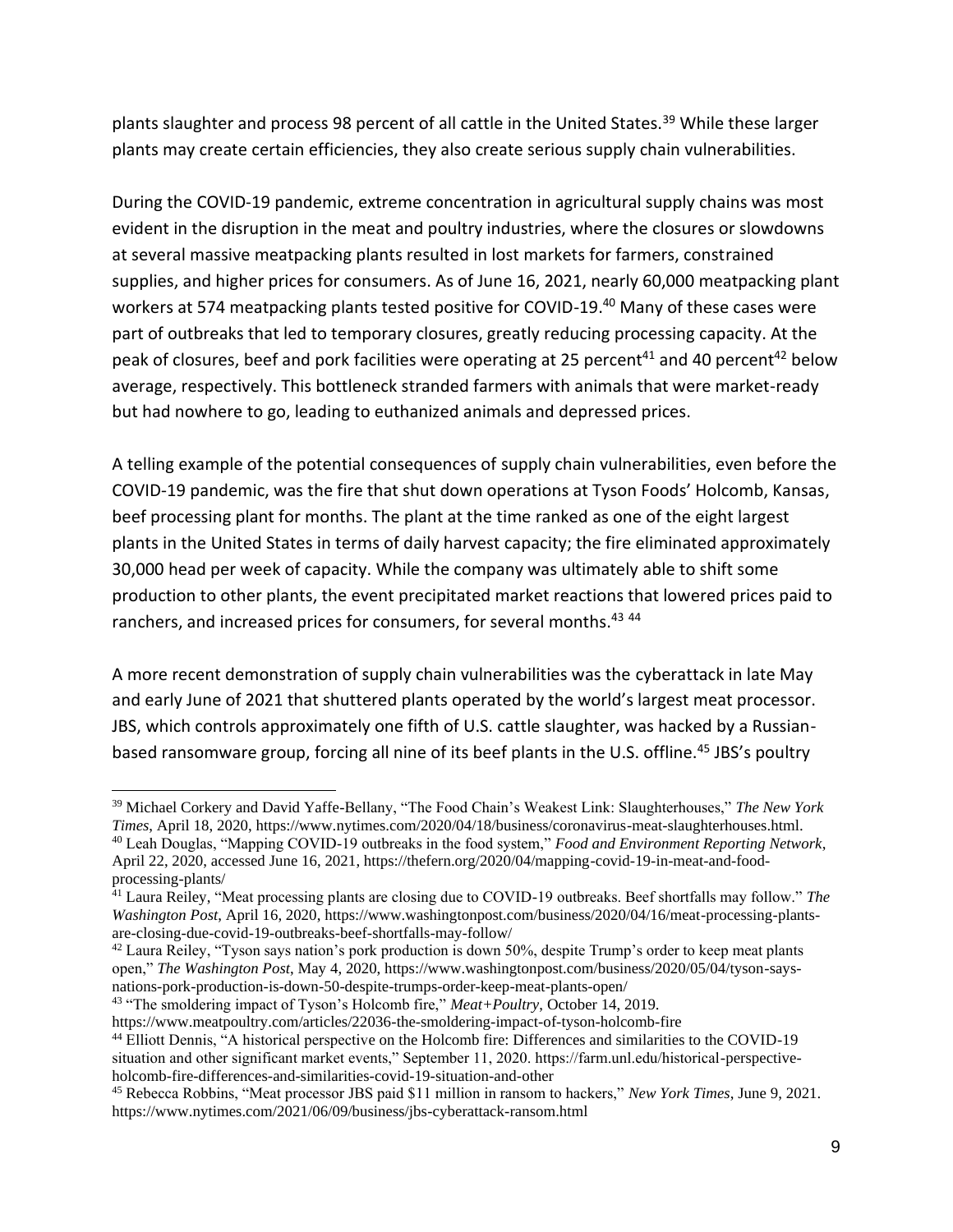plants slaughter and process 98 percent of all cattle in the United States.<sup>39</sup> While these larger plants may create certain efficiencies, they also create serious supply chain vulnerabilities.

During the COVID-19 pandemic, extreme concentration in agricultural supply chains was most evident in the disruption in the meat and poultry industries, where the closures or slowdowns at several massive meatpacking plants resulted in lost markets for farmers, constrained supplies, and higher prices for consumers. As of June 16, 2021, nearly 60,000 meatpacking plant workers at 574 meatpacking plants tested positive for COVID-19.<sup>40</sup> Many of these cases were part of outbreaks that led to temporary closures, greatly reducing processing capacity. At the peak of closures, beef and pork facilities were operating at 25 percent<sup>41</sup> and 40 percent<sup>42</sup> below average, respectively. This bottleneck stranded farmers with animals that were market-ready but had nowhere to go, leading to euthanized animals and depressed prices.

A telling example of the potential consequences of supply chain vulnerabilities, even before the COVID-19 pandemic, was the fire that shut down operations at Tyson Foods' Holcomb, Kansas, beef processing plant for months. The plant at the time ranked as one of the eight largest plants in the United States in terms of daily harvest capacity; the fire eliminated approximately 30,000 head per week of capacity. While the company was ultimately able to shift some production to other plants, the event precipitated market reactions that lowered prices paid to ranchers, and increased prices for consumers, for several months.<sup>43 44</sup>

A more recent demonstration of supply chain vulnerabilities was the cyberattack in late May and early June of 2021 that shuttered plants operated by the world's largest meat processor. JBS, which controls approximately one fifth of U.S. cattle slaughter, was hacked by a Russianbased ransomware group, forcing all nine of its beef plants in the U.S. offline.<sup>45</sup> JBS's poultry

<sup>43</sup> "The smoldering impact of Tyson's Holcomb fire," *Meat+Poultry*, October 14, 2019.

<sup>39</sup> Michael Corkery and David Yaffe-Bellany, "The Food Chain's Weakest Link: Slaughterhouses," *The New York Times*, April 18, 2020, https://www.nytimes.com/2020/04/18/business/coronavirus-meat-slaughterhouses.html. <sup>40</sup> Leah Douglas, "Mapping COVID-19 outbreaks in the food system," *Food and Environment Reporting Network*, April 22, 2020, accessed June 16, 2021, https://thefern.org/2020/04/mapping-covid-19-in-meat-and-foodprocessing-plants/

<sup>41</sup> Laura Reiley, "Meat processing plants are closing due to COVID-19 outbreaks. Beef shortfalls may follow." *The Washington Post*, April 16, 2020, https://www.washingtonpost.com/business/2020/04/16/meat-processing-plantsare-closing-due-covid-19-outbreaks-beef-shortfalls-may-follow/

<sup>&</sup>lt;sup>42</sup> Laura Reiley, "Tyson says nation's pork production is down 50%, despite Trump's order to keep meat plants open," *The Washington Post*, May 4, 2020, https://www.washingtonpost.com/business/2020/05/04/tyson-saysnations-pork-production-is-down-50-despite-trumps-order-keep-meat-plants-open/

https://www.meatpoultry.com/articles/22036-the-smoldering-impact-of-tyson-holcomb-fire

<sup>44</sup> Elliott Dennis, "A historical perspective on the Holcomb fire: Differences and similarities to the COVID-19 situation and other significant market events," September 11, 2020. https://farm.unl.edu/historical-perspectiveholcomb-fire-differences-and-similarities-covid-19-situation-and-other

<sup>45</sup> Rebecca Robbins, "Meat processor JBS paid \$11 million in ransom to hackers," *New York Times*, June 9, 2021. https://www.nytimes.com/2021/06/09/business/jbs-cyberattack-ransom.html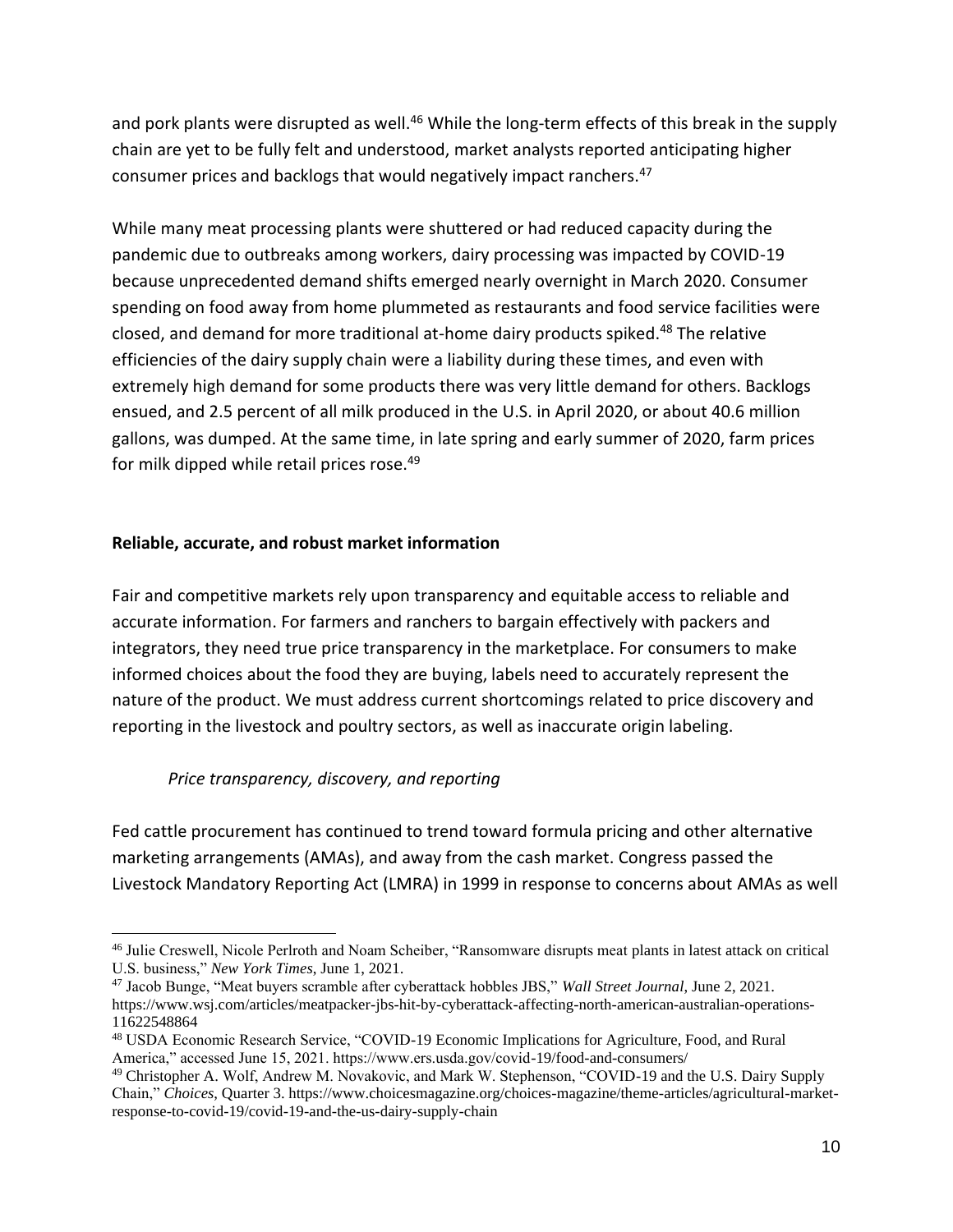and pork plants were disrupted as well.<sup>46</sup> While the long-term effects of this break in the supply chain are yet to be fully felt and understood, market analysts reported anticipating higher consumer prices and backlogs that would negatively impact ranchers.<sup>47</sup>

While many meat processing plants were shuttered or had reduced capacity during the pandemic due to outbreaks among workers, dairy processing was impacted by COVID-19 because unprecedented demand shifts emerged nearly overnight in March 2020. Consumer spending on food away from home plummeted as restaurants and food service facilities were closed, and demand for more traditional at-home dairy products spiked.<sup>48</sup> The relative efficiencies of the dairy supply chain were a liability during these times, and even with extremely high demand for some products there was very little demand for others. Backlogs ensued, and 2.5 percent of all milk produced in the U.S. in April 2020, or about 40.6 million gallons, was dumped. At the same time, in late spring and early summer of 2020, farm prices for milk dipped while retail prices rose.<sup>49</sup>

#### **Reliable, accurate, and robust market information**

Fair and competitive markets rely upon transparency and equitable access to reliable and accurate information. For farmers and ranchers to bargain effectively with packers and integrators, they need true price transparency in the marketplace. For consumers to make informed choices about the food they are buying, labels need to accurately represent the nature of the product. We must address current shortcomings related to price discovery and reporting in the livestock and poultry sectors, as well as inaccurate origin labeling.

#### *Price transparency, discovery, and reporting*

Fed cattle procurement has continued to trend toward formula pricing and other alternative marketing arrangements (AMAs), and away from the cash market. Congress passed the Livestock Mandatory Reporting Act (LMRA) in 1999 in response to concerns about AMAs as well

<sup>46</sup> Julie Creswell, Nicole Perlroth and Noam Scheiber, "Ransomware disrupts meat plants in latest attack on critical U.S. business," *New York Times*, June 1, 2021.

<sup>47</sup> Jacob Bunge, "Meat buyers scramble after cyberattack hobbles JBS," *Wall Street Journal*, June 2, 2021. https://www.wsj.com/articles/meatpacker-jbs-hit-by-cyberattack-affecting-north-american-australian-operations-11622548864

<sup>48</sup> USDA Economic Research Service, "COVID-19 Economic Implications for Agriculture, Food, and Rural America," accessed June 15, 2021. https://www.ers.usda.gov/covid-19/food-and-consumers/

<sup>49</sup> Christopher A. Wolf, Andrew M. Novakovic, and Mark W. Stephenson, "COVID-19 and the U.S. Dairy Supply Chain," *Choices*, Quarter 3. https://www.choicesmagazine.org/choices-magazine/theme-articles/agricultural-marketresponse-to-covid-19/covid-19-and-the-us-dairy-supply-chain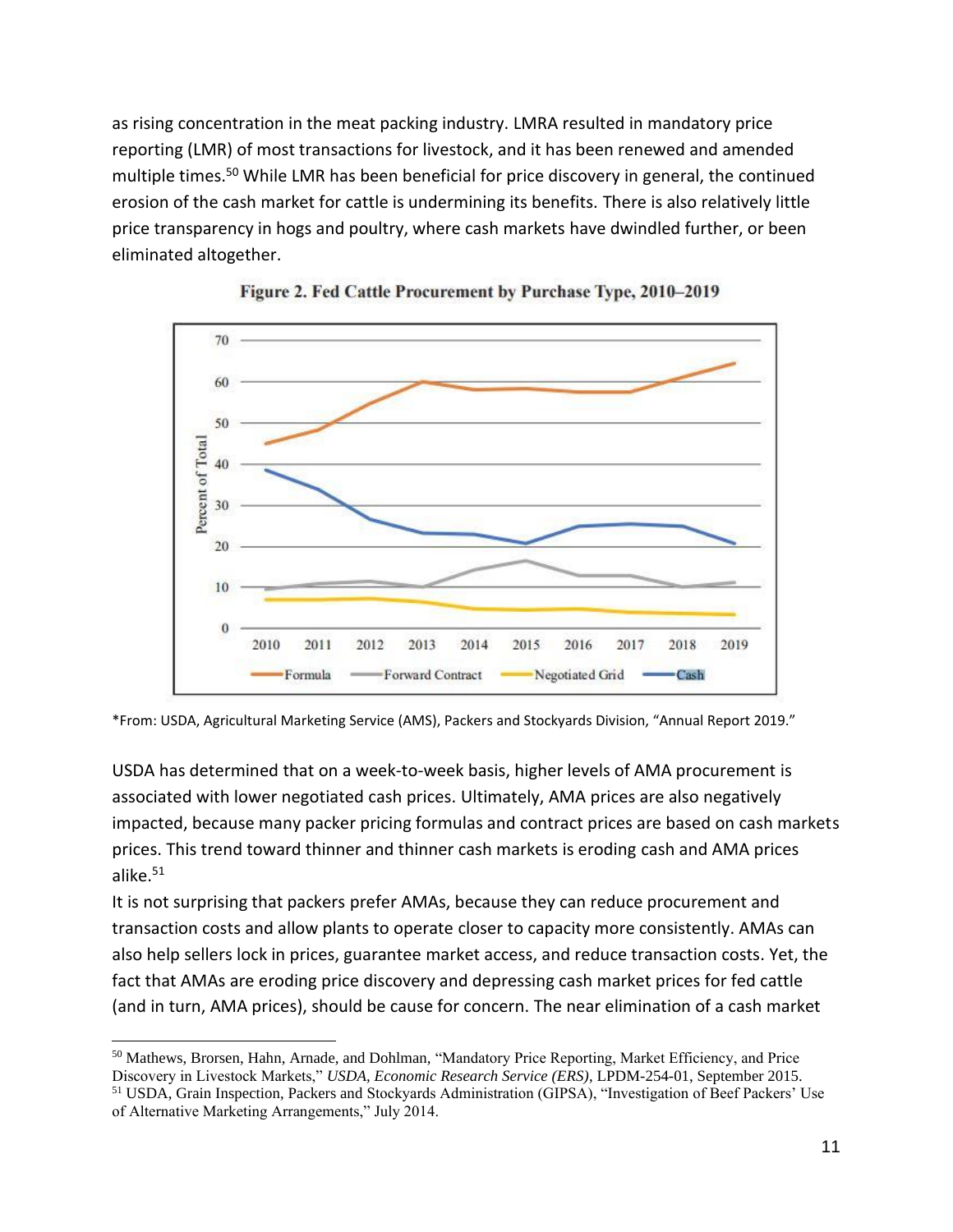as rising concentration in the meat packing industry. LMRA resulted in mandatory price reporting (LMR) of most transactions for livestock, and it has been renewed and amended multiple times.<sup>50</sup> While LMR has been beneficial for price discovery in general, the continued erosion of the cash market for cattle is undermining its benefits. There is also relatively little price transparency in hogs and poultry, where cash markets have dwindled further, or been eliminated altogether.





\*From: USDA, Agricultural Marketing Service (AMS), Packers and Stockyards Division, "Annual Report 2019."

USDA has determined that on a week-to-week basis, higher levels of AMA procurement is associated with lower negotiated cash prices. Ultimately, AMA prices are also negatively impacted, because many packer pricing formulas and contract prices are based on cash markets prices. This trend toward thinner and thinner cash markets is eroding cash and AMA prices alike. 51

It is not surprising that packers prefer AMAs, because they can reduce procurement and transaction costs and allow plants to operate closer to capacity more consistently. AMAs can also help sellers lock in prices, guarantee market access, and reduce transaction costs. Yet, the fact that AMAs are eroding price discovery and depressing cash market prices for fed cattle (and in turn, AMA prices), should be cause for concern. The near elimination of a cash market

<sup>50</sup> Mathews, Brorsen, Hahn, Arnade, and Dohlman, "Mandatory Price Reporting, Market Efficiency, and Price Discovery in Livestock Markets," *USDA, Economic Research Service (ERS)*, LPDM-254-01, September 2015. <sup>51</sup> USDA, Grain Inspection, Packers and Stockyards Administration (GIPSA), "Investigation of Beef Packers' Use of Alternative Marketing Arrangements," July 2014.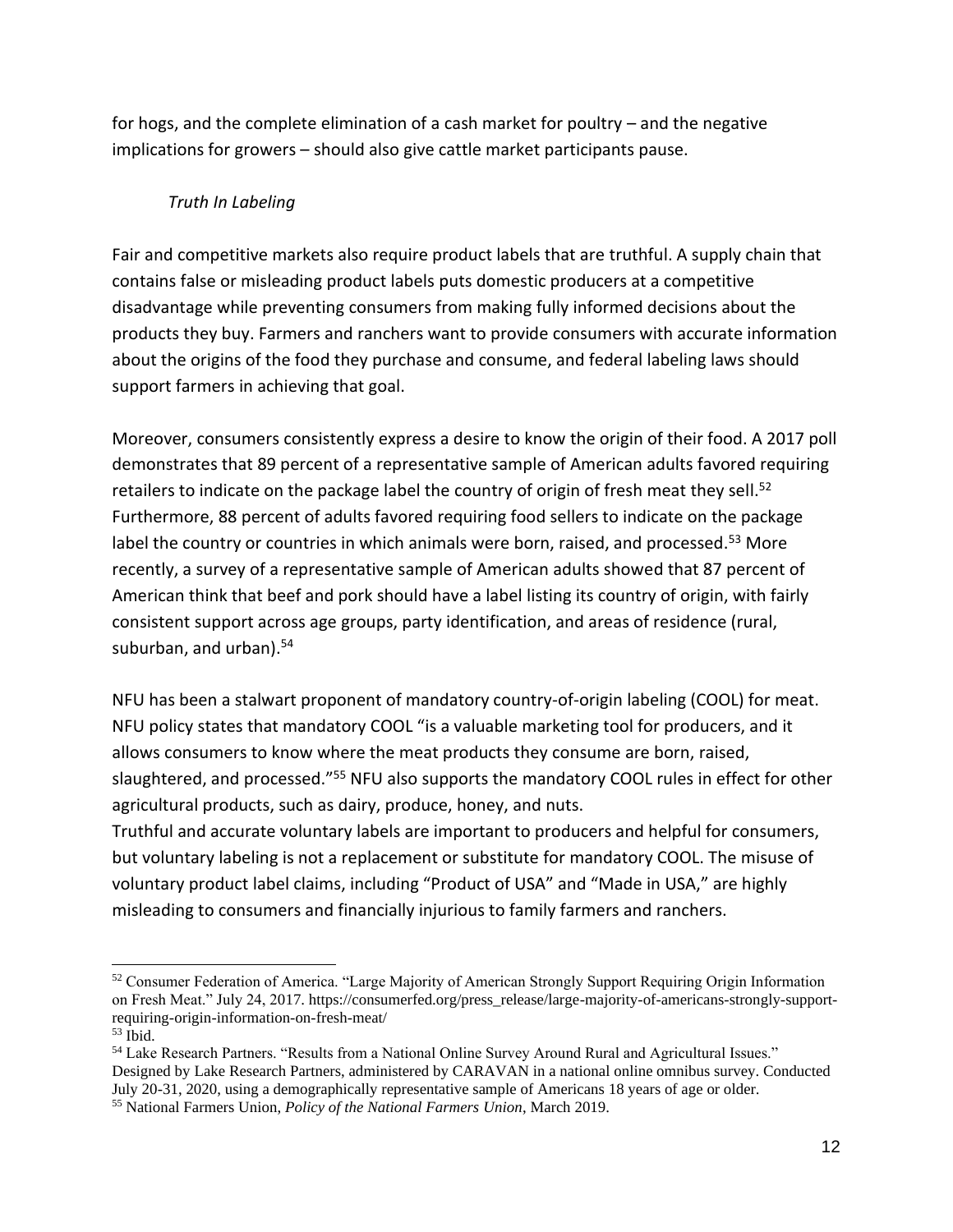for hogs, and the complete elimination of a cash market for poultry – and the negative implications for growers – should also give cattle market participants pause.

#### *Truth In Labeling*

Fair and competitive markets also require product labels that are truthful. A supply chain that contains false or misleading product labels puts domestic producers at a competitive disadvantage while preventing consumers from making fully informed decisions about the products they buy. Farmers and ranchers want to provide consumers with accurate information about the origins of the food they purchase and consume, and federal labeling laws should support farmers in achieving that goal.

Moreover, consumers consistently express a desire to know the origin of their food. A 2017 poll demonstrates that 89 percent of a representative sample of American adults favored requiring retailers to indicate on the package label the country of origin of fresh meat they sell.<sup>52</sup> Furthermore, 88 percent of adults favored requiring food sellers to indicate on the package label the country or countries in which animals were born, raised, and processed.<sup>53</sup> More recently, a survey of a representative sample of American adults showed that 87 percent of American think that beef and pork should have a label listing its country of origin, with fairly consistent support across age groups, party identification, and areas of residence (rural, suburban, and urban).<sup>54</sup>

NFU has been a stalwart proponent of mandatory country-of-origin labeling (COOL) for meat. NFU policy states that mandatory COOL "is a valuable marketing tool for producers, and it allows consumers to know where the meat products they consume are born, raised, slaughtered, and processed."<sup>55</sup> NFU also supports the mandatory COOL rules in effect for other agricultural products, such as dairy, produce, honey, and nuts.

Truthful and accurate voluntary labels are important to producers and helpful for consumers, but voluntary labeling is not a replacement or substitute for mandatory COOL. The misuse of voluntary product label claims, including "Product of USA" and "Made in USA," are highly misleading to consumers and financially injurious to family farmers and ranchers.

<sup>52</sup> Consumer Federation of America. "Large Majority of American Strongly Support Requiring Origin Information on Fresh Meat." July 24, 2017. https://consumerfed.org/press\_release/large-majority-of-americans-strongly-supportrequiring-origin-information-on-fresh-meat/

<sup>53</sup> Ibid.

<sup>&</sup>lt;sup>54</sup> Lake Research Partners. "Results from a National Online Survey Around Rural and Agricultural Issues." Designed by Lake Research Partners, administered by CARAVAN in a national online omnibus survey. Conducted July 20-31, 2020, using a demographically representative sample of Americans 18 years of age or older.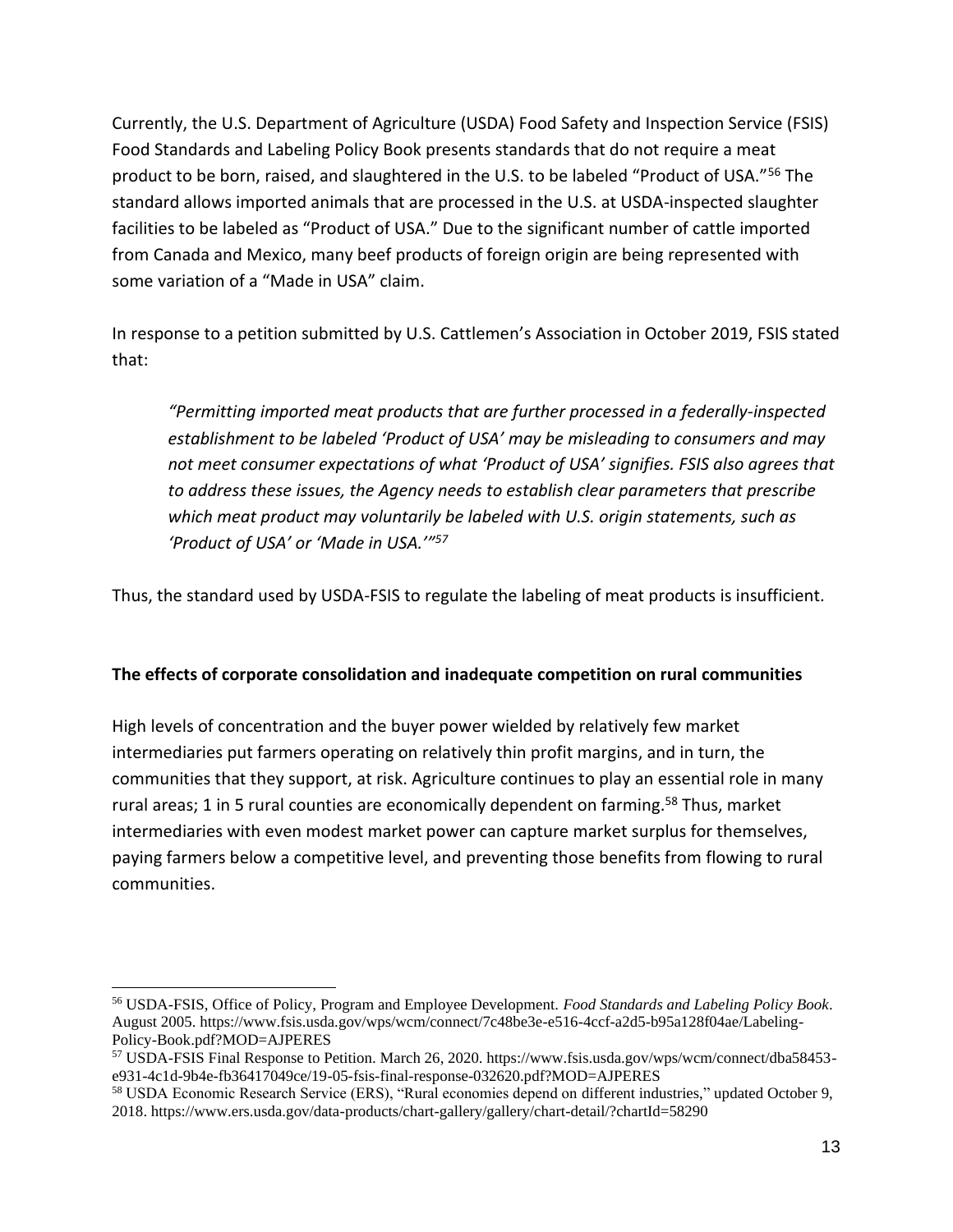Currently, the U.S. Department of Agriculture (USDA) Food Safety and Inspection Service (FSIS) Food Standards and Labeling Policy Book presents standards that do not require a meat product to be born, raised, and slaughtered in the U.S. to be labeled "Product of USA."<sup>56</sup> The standard allows imported animals that are processed in the U.S. at USDA-inspected slaughter facilities to be labeled as "Product of USA." Due to the significant number of cattle imported from Canada and Mexico, many beef products of foreign origin are being represented with some variation of a "Made in USA" claim.

In response to a petition submitted by U.S. Cattlemen's Association in October 2019, FSIS stated that:

*"Permitting imported meat products that are further processed in a federally-inspected establishment to be labeled 'Product of USA' may be misleading to consumers and may not meet consumer expectations of what 'Product of USA' signifies. FSIS also agrees that to address these issues, the Agency needs to establish clear parameters that prescribe which meat product may voluntarily be labeled with U.S. origin statements, such as 'Product of USA' or 'Made in USA.'"<sup>57</sup>*

Thus, the standard used by USDA-FSIS to regulate the labeling of meat products is insufficient.

#### **The effects of corporate consolidation and inadequate competition on rural communities**

High levels of concentration and the buyer power wielded by relatively few market intermediaries put farmers operating on relatively thin profit margins, and in turn, the communities that they support, at risk. Agriculture continues to play an essential role in many rural areas; 1 in 5 rural counties are economically dependent on farming.<sup>58</sup> Thus, market intermediaries with even modest market power can capture market surplus for themselves, paying farmers below a competitive level, and preventing those benefits from flowing to rural communities.

<sup>56</sup> USDA-FSIS, Office of Policy, Program and Employee Development. *Food Standards and Labeling Policy Book*. August 2005. https://www.fsis.usda.gov/wps/wcm/connect/7c48be3e-e516-4ccf-a2d5-b95a128f04ae/Labeling-Policy-Book.pdf?MOD=AJPERES

<sup>57</sup> USDA-FSIS Final Response to Petition. March 26, 2020. https://www.fsis.usda.gov/wps/wcm/connect/dba58453 e931-4c1d-9b4e-fb36417049ce/19-05-fsis-final-response-032620.pdf?MOD=AJPERES

<sup>58</sup> USDA Economic Research Service (ERS), "Rural economies depend on different industries," updated October 9, 2018. https://www.ers.usda.gov/data-products/chart-gallery/gallery/chart-detail/?chartId=58290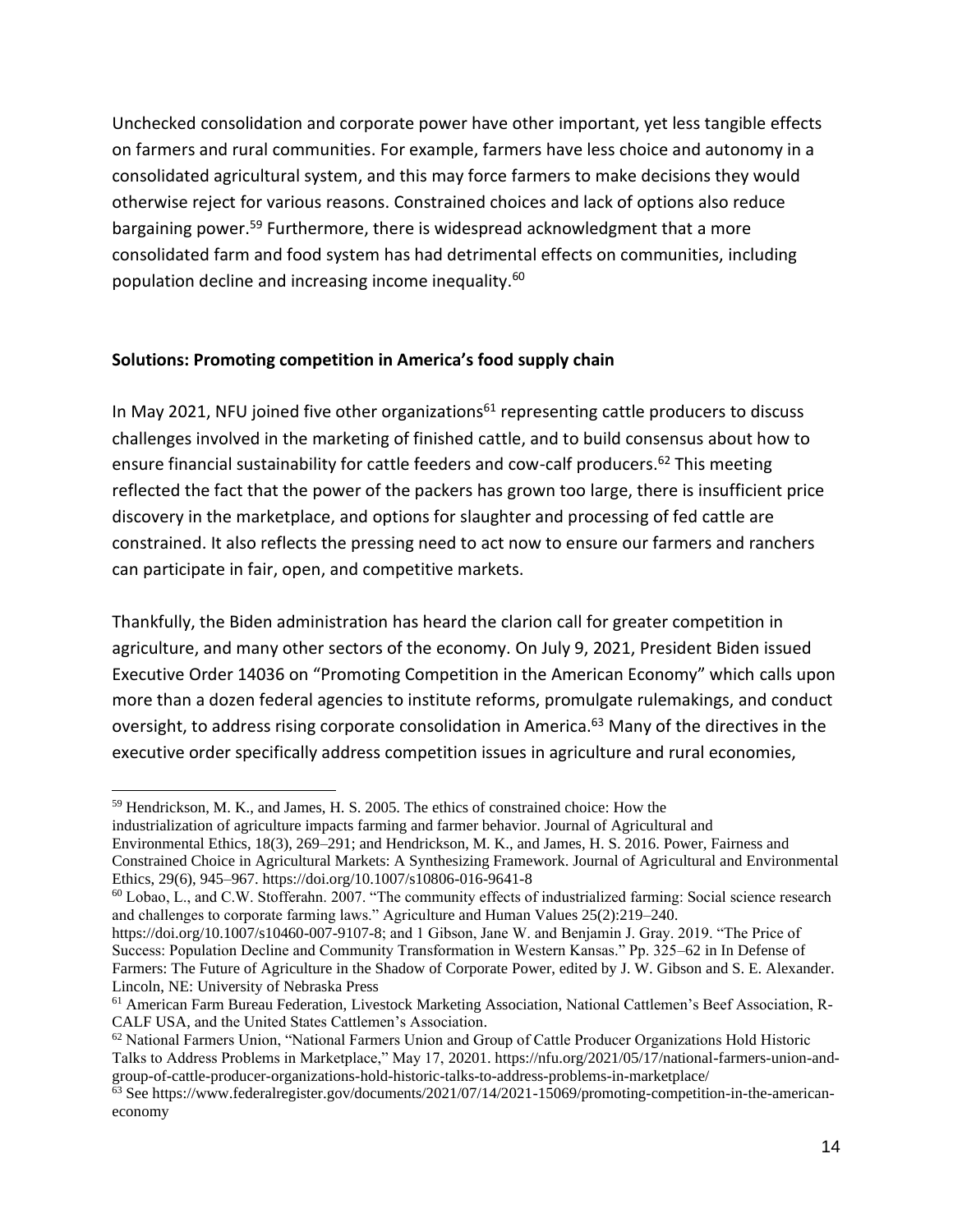Unchecked consolidation and corporate power have other important, yet less tangible effects on farmers and rural communities. For example, farmers have less choice and autonomy in a consolidated agricultural system, and this may force farmers to make decisions they would otherwise reject for various reasons. Constrained choices and lack of options also reduce bargaining power.<sup>59</sup> Furthermore, there is widespread acknowledgment that a more consolidated farm and food system has had detrimental effects on communities, including population decline and increasing income inequality.<sup>60</sup>

#### **Solutions: Promoting competition in America's food supply chain**

In May 2021, NFU joined five other organizations<sup>61</sup> representing cattle producers to discuss challenges involved in the marketing of finished cattle, and to build consensus about how to ensure financial sustainability for cattle feeders and cow-calf producers.<sup>62</sup> This meeting reflected the fact that the power of the packers has grown too large, there is insufficient price discovery in the marketplace, and options for slaughter and processing of fed cattle are constrained. It also reflects the pressing need to act now to ensure our farmers and ranchers can participate in fair, open, and competitive markets.

Thankfully, the Biden administration has heard the clarion call for greater competition in agriculture, and many other sectors of the economy. On July 9, 2021, President Biden issued Executive Order 14036 on "Promoting Competition in the American Economy" which calls upon more than a dozen federal agencies to institute reforms, promulgate rulemakings, and conduct oversight, to address rising corporate consolidation in America.<sup>63</sup> Many of the directives in the executive order specifically address competition issues in agriculture and rural economies,

industrialization of agriculture impacts farming and farmer behavior. Journal of Agricultural and Environmental Ethics, 18(3), 269–291; and Hendrickson, M. K., and James, H. S. 2016. Power, Fairness and Constrained Choice in Agricultural Markets: A Synthesizing Framework. Journal of Agricultural and Environmental Ethics, 29(6), 945–967. https://doi.org/10.1007/s10806-016-9641-8

<sup>59</sup> Hendrickson, M. K., and James, H. S. 2005. The ethics of constrained choice: How the

<sup>60</sup> Lobao, L., and C.W. Stofferahn. 2007. "The community effects of industrialized farming: Social science research and challenges to corporate farming laws." Agriculture and Human Values 25(2):219–240.

https://doi.org/10.1007/s10460-007-9107-8; and 1 Gibson, Jane W. and Benjamin J. Gray. 2019. "The Price of Success: Population Decline and Community Transformation in Western Kansas." Pp. 325–62 in In Defense of Farmers: The Future of Agriculture in the Shadow of Corporate Power, edited by J. W. Gibson and S. E. Alexander. Lincoln, NE: University of Nebraska Press

<sup>61</sup> American Farm Bureau Federation, Livestock Marketing Association, National Cattlemen's Beef Association, R-CALF USA, and the United States Cattlemen's Association.

<sup>62</sup> National Farmers Union, "National Farmers Union and Group of Cattle Producer Organizations Hold Historic Talks to Address Problems in Marketplace," May 17, 20201. https://nfu.org/2021/05/17/national-farmers-union-andgroup-of-cattle-producer-organizations-hold-historic-talks-to-address-problems-in-marketplace/

 $63$  See https://www.federalregister.gov/documents/2021/07/14/2021-15069/promoting-competition-in-the-americaneconomy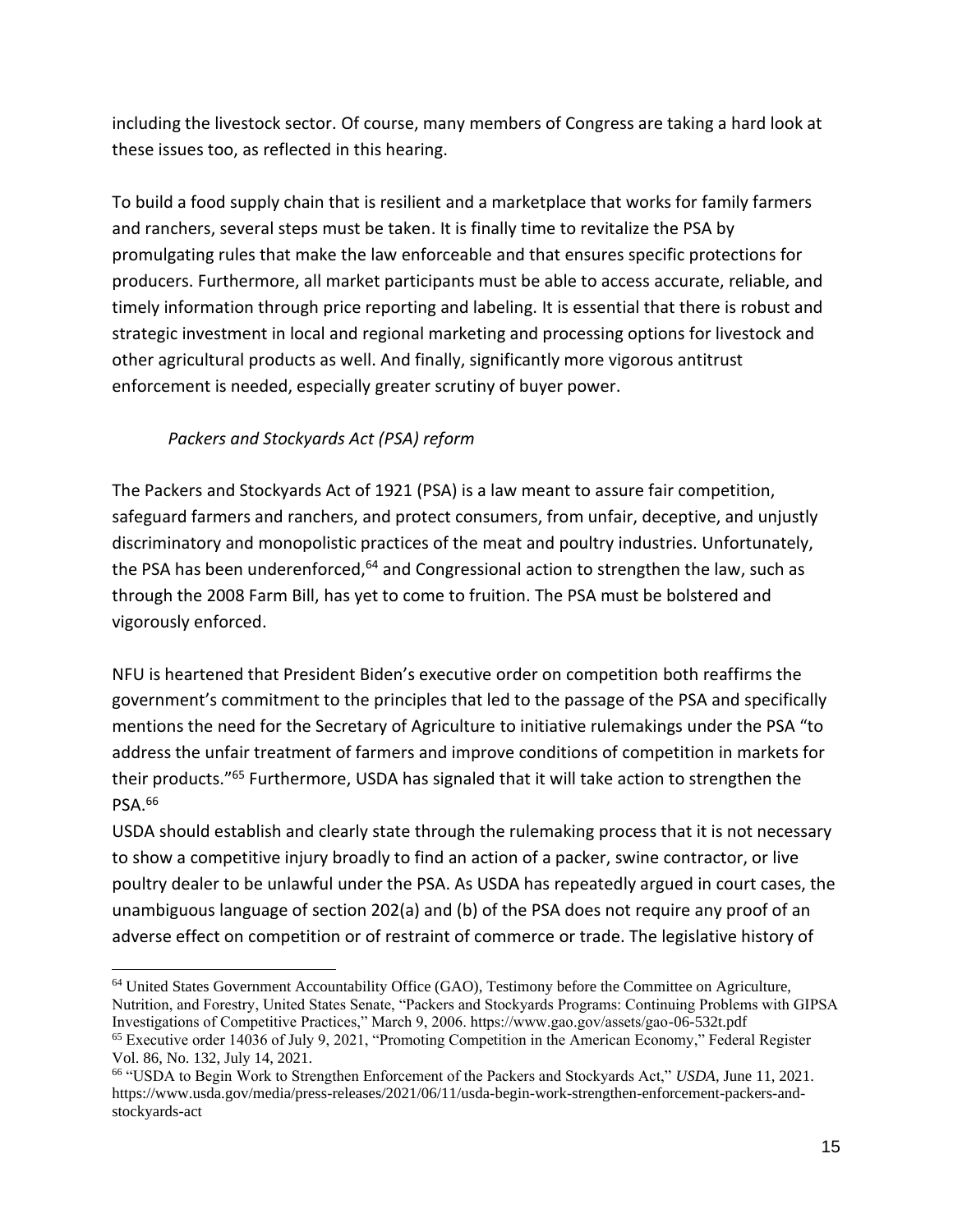including the livestock sector. Of course, many members of Congress are taking a hard look at these issues too, as reflected in this hearing.

To build a food supply chain that is resilient and a marketplace that works for family farmers and ranchers, several steps must be taken. It is finally time to revitalize the PSA by promulgating rules that make the law enforceable and that ensures specific protections for producers. Furthermore, all market participants must be able to access accurate, reliable, and timely information through price reporting and labeling. It is essential that there is robust and strategic investment in local and regional marketing and processing options for livestock and other agricultural products as well. And finally, significantly more vigorous antitrust enforcement is needed, especially greater scrutiny of buyer power.

## *Packers and Stockyards Act (PSA) reform*

The Packers and Stockyards Act of 1921 (PSA) is a law meant to assure fair competition, safeguard farmers and ranchers, and protect consumers, from unfair, deceptive, and unjustly discriminatory and monopolistic practices of the meat and poultry industries. Unfortunately, the PSA has been underenforced, $64$  and Congressional action to strengthen the law, such as through the 2008 Farm Bill, has yet to come to fruition. The PSA must be bolstered and vigorously enforced.

NFU is heartened that President Biden's executive order on competition both reaffirms the government's commitment to the principles that led to the passage of the PSA and specifically mentions the need for the Secretary of Agriculture to initiative rulemakings under the PSA "to address the unfair treatment of farmers and improve conditions of competition in markets for their products."<sup>65</sup> Furthermore, USDA has signaled that it will take action to strengthen the PSA.<sup>66</sup>

USDA should establish and clearly state through the rulemaking process that it is not necessary to show a competitive injury broadly to find an action of a packer, swine contractor, or live poultry dealer to be unlawful under the PSA. As USDA has repeatedly argued in court cases, the unambiguous language of section 202(a) and (b) of the PSA does not require any proof of an adverse effect on competition or of restraint of commerce or trade. The legislative history of

<sup>64</sup> United States Government Accountability Office (GAO), Testimony before the Committee on Agriculture, Nutrition, and Forestry, United States Senate, "Packers and Stockyards Programs: Continuing Problems with GIPSA Investigations of Competitive Practices," March 9, 2006. https://www.gao.gov/assets/gao-06-532t.pdf <sup>65</sup> Executive order 14036 of July 9, 2021, "Promoting Competition in the American Economy," Federal Register

Vol. 86, No. 132, July 14, 2021.

<sup>66</sup> "USDA to Begin Work to Strengthen Enforcement of the Packers and Stockyards Act," *USDA*, June 11, 2021. https://www.usda.gov/media/press-releases/2021/06/11/usda-begin-work-strengthen-enforcement-packers-andstockyards-act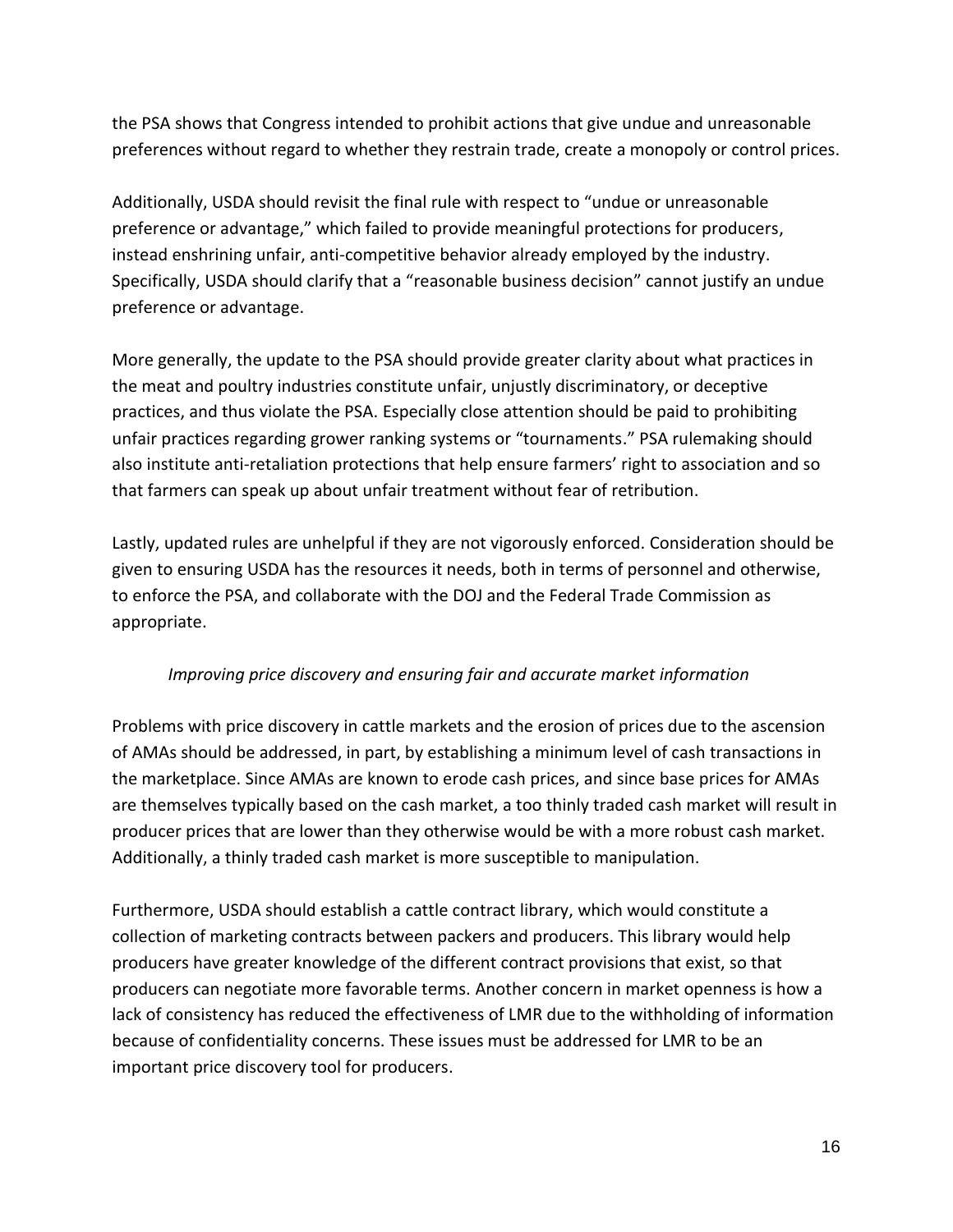the PSA shows that Congress intended to prohibit actions that give undue and unreasonable preferences without regard to whether they restrain trade, create a monopoly or control prices.

Additionally, USDA should revisit the final rule with respect to "undue or unreasonable preference or advantage," which failed to provide meaningful protections for producers, instead enshrining unfair, anti-competitive behavior already employed by the industry. Specifically, USDA should clarify that a "reasonable business decision" cannot justify an undue preference or advantage.

More generally, the update to the PSA should provide greater clarity about what practices in the meat and poultry industries constitute unfair, unjustly discriminatory, or deceptive practices, and thus violate the PSA. Especially close attention should be paid to prohibiting unfair practices regarding grower ranking systems or "tournaments." PSA rulemaking should also institute anti-retaliation protections that help ensure farmers' right to association and so that farmers can speak up about unfair treatment without fear of retribution.

Lastly, updated rules are unhelpful if they are not vigorously enforced. Consideration should be given to ensuring USDA has the resources it needs, both in terms of personnel and otherwise, to enforce the PSA, and collaborate with the DOJ and the Federal Trade Commission as appropriate.

#### *Improving price discovery and ensuring fair and accurate market information*

Problems with price discovery in cattle markets and the erosion of prices due to the ascension of AMAs should be addressed, in part, by establishing a minimum level of cash transactions in the marketplace. Since AMAs are known to erode cash prices, and since base prices for AMAs are themselves typically based on the cash market, a too thinly traded cash market will result in producer prices that are lower than they otherwise would be with a more robust cash market. Additionally, a thinly traded cash market is more susceptible to manipulation.

Furthermore, USDA should establish a cattle contract library, which would constitute a collection of marketing contracts between packers and producers. This library would help producers have greater knowledge of the different contract provisions that exist, so that producers can negotiate more favorable terms. Another concern in market openness is how a lack of consistency has reduced the effectiveness of LMR due to the withholding of information because of confidentiality concerns. These issues must be addressed for LMR to be an important price discovery tool for producers.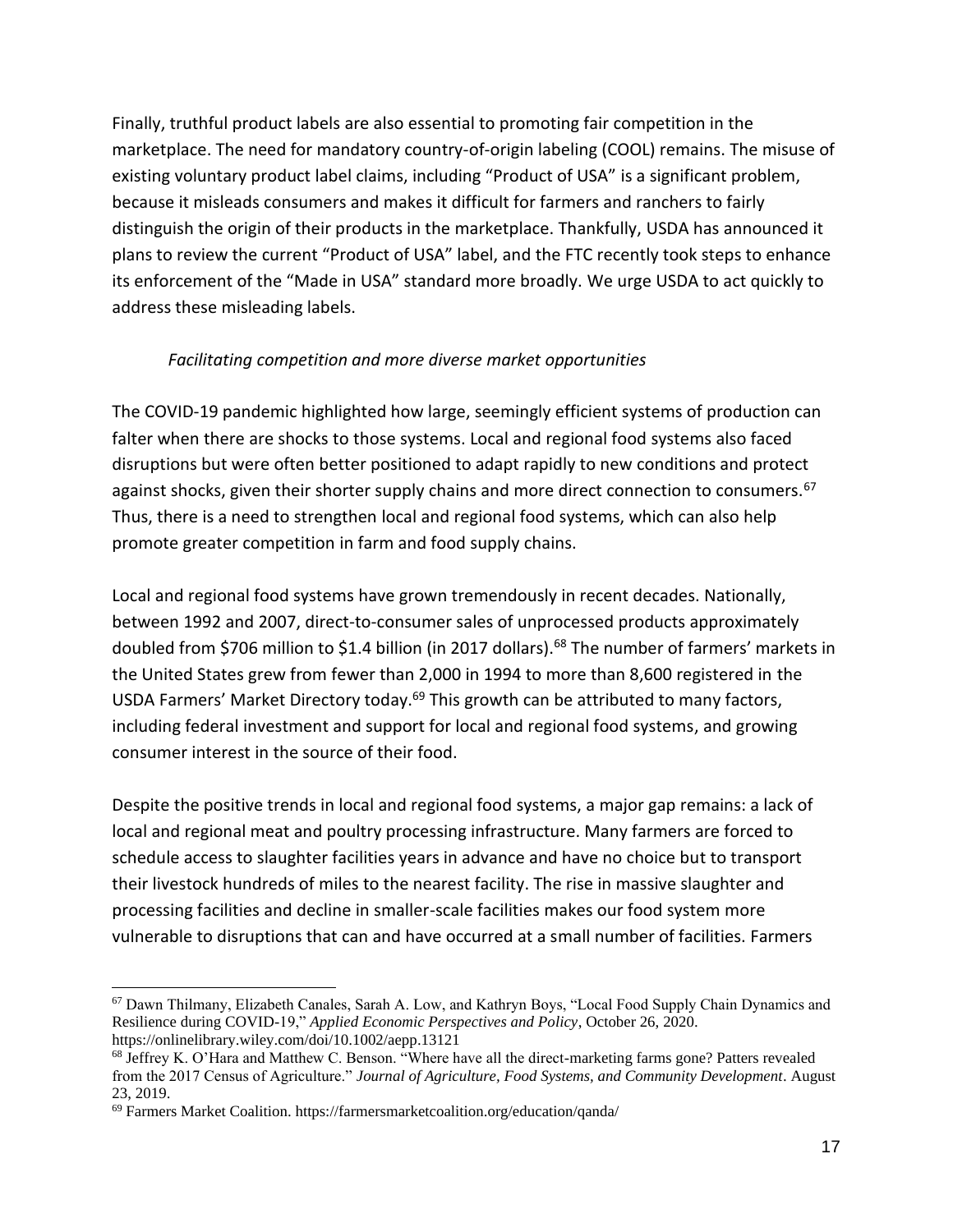Finally, truthful product labels are also essential to promoting fair competition in the marketplace. The need for mandatory country-of-origin labeling (COOL) remains. The misuse of existing voluntary product label claims, including "Product of USA" is a significant problem, because it misleads consumers and makes it difficult for farmers and ranchers to fairly distinguish the origin of their products in the marketplace. Thankfully, USDA has announced it plans to review the current "Product of USA" label, and the FTC recently took steps to enhance its enforcement of the "Made in USA" standard more broadly. We urge USDA to act quickly to address these misleading labels.

#### *Facilitating competition and more diverse market opportunities*

The COVID-19 pandemic highlighted how large, seemingly efficient systems of production can falter when there are shocks to those systems. Local and regional food systems also faced disruptions but were often better positioned to adapt rapidly to new conditions and protect against shocks, given their shorter supply chains and more direct connection to consumers.<sup>67</sup> Thus, there is a need to strengthen local and regional food systems, which can also help promote greater competition in farm and food supply chains.

Local and regional food systems have grown tremendously in recent decades. Nationally, between 1992 and 2007, direct-to-consumer sales of unprocessed products approximately doubled from \$706 million to \$1.4 billion (in 2017 dollars).<sup>68</sup> The number of farmers' markets in the United States grew from fewer than 2,000 in 1994 to more than 8,600 registered in the USDA Farmers' Market Directory today.<sup>69</sup> This growth can be attributed to many factors, including federal investment and support for local and regional food systems, and growing consumer interest in the source of their food.

Despite the positive trends in local and regional food systems, a major gap remains: a lack of local and regional meat and poultry processing infrastructure. Many farmers are forced to schedule access to slaughter facilities years in advance and have no choice but to transport their livestock hundreds of miles to the nearest facility. The rise in massive slaughter and processing facilities and decline in smaller-scale facilities makes our food system more vulnerable to disruptions that can and have occurred at a small number of facilities. Farmers

<sup>67</sup> Dawn Thilmany, Elizabeth Canales, Sarah A. Low, and Kathryn Boys, "Local Food Supply Chain Dynamics and Resilience during COVID-19," *Applied Economic Perspectives and Policy*, October 26, 2020. https://onlinelibrary.wiley.com/doi/10.1002/aepp.13121

<sup>68</sup> Jeffrey K. O'Hara and Matthew C. Benson. "Where have all the direct-marketing farms gone? Patters revealed from the 2017 Census of Agriculture." *Journal of Agriculture, Food Systems, and Community Development*. August 23, 2019.

<sup>69</sup> Farmers Market Coalition. https://farmersmarketcoalition.org/education/qanda/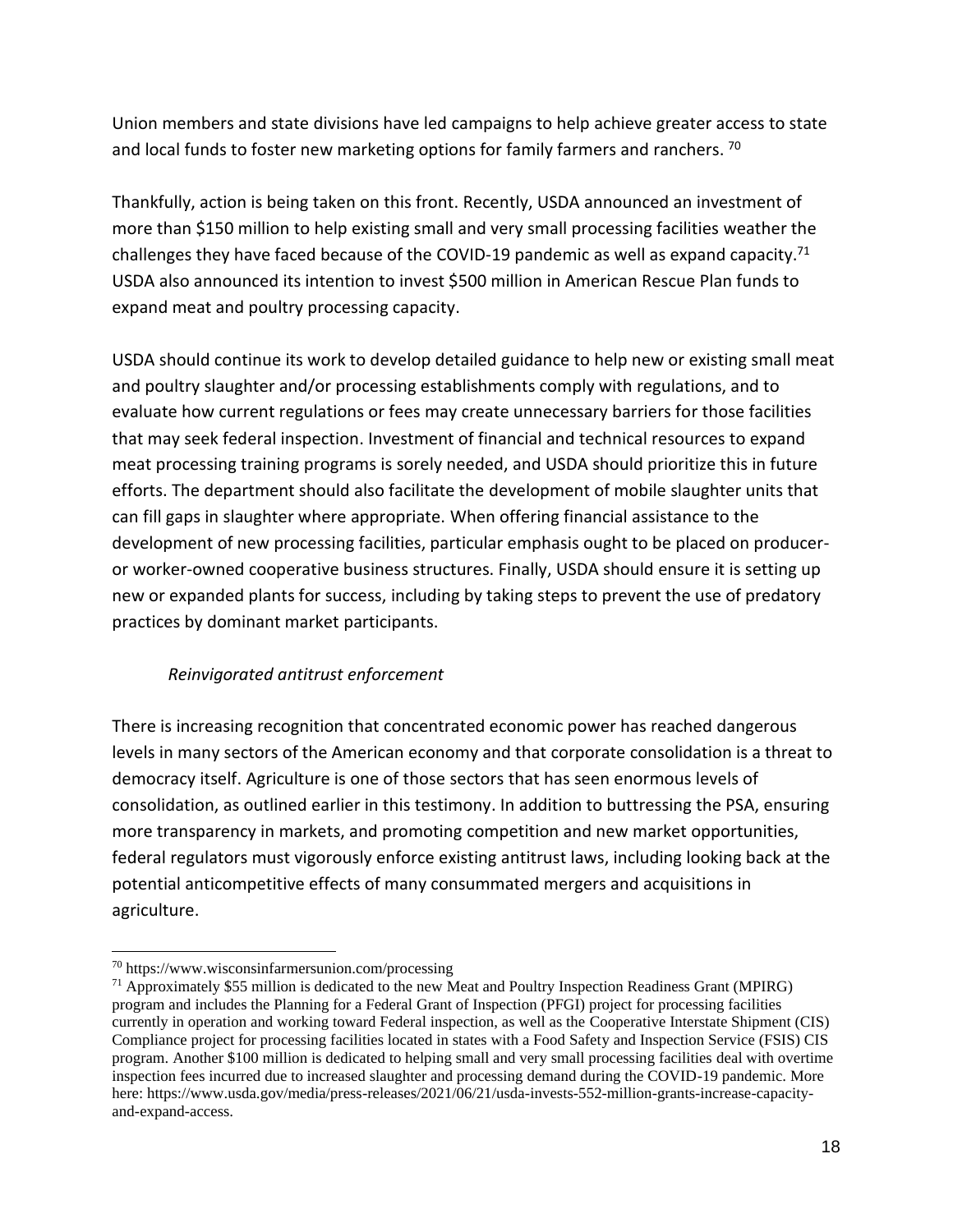Union members and state divisions have led campaigns to help achieve greater access to state and local funds to foster new marketing options for family farmers and ranchers. <sup>70</sup>

Thankfully, action is being taken on this front. Recently, USDA announced an investment of more than \$150 million to help existing small and very small processing facilities weather the challenges they have faced because of the COVID-19 pandemic as well as expand capacity.<sup>71</sup> USDA also announced its intention to invest \$500 million in American Rescue Plan funds to expand meat and poultry processing capacity.

USDA should continue its work to develop detailed guidance to help new or existing small meat and poultry slaughter and/or processing establishments comply with regulations, and to evaluate how current regulations or fees may create unnecessary barriers for those facilities that may seek federal inspection. Investment of financial and technical resources to expand meat processing training programs is sorely needed, and USDA should prioritize this in future efforts. The department should also facilitate the development of mobile slaughter units that can fill gaps in slaughter where appropriate. When offering financial assistance to the development of new processing facilities, particular emphasis ought to be placed on produceror worker-owned cooperative business structures. Finally, USDA should ensure it is setting up new or expanded plants for success, including by taking steps to prevent the use of predatory practices by dominant market participants.

### *Reinvigorated antitrust enforcement*

There is increasing recognition that concentrated economic power has reached dangerous levels in many sectors of the American economy and that corporate consolidation is a threat to democracy itself. Agriculture is one of those sectors that has seen enormous levels of consolidation, as outlined earlier in this testimony. In addition to buttressing the PSA, ensuring more transparency in markets, and promoting competition and new market opportunities, federal regulators must vigorously enforce existing antitrust laws, including looking back at the potential anticompetitive effects of many consummated mergers and acquisitions in agriculture.

<sup>70</sup> https://www.wisconsinfarmersunion.com/processing

 $71$  Approximately \$55 million is dedicated to the new Meat and Poultry Inspection Readiness Grant (MPIRG) program and includes the Planning for a Federal Grant of Inspection (PFGI) project for processing facilities currently in operation and working toward Federal inspection, as well as the Cooperative Interstate Shipment (CIS) Compliance project for processing facilities located in states with a Food Safety and Inspection Service (FSIS) CIS program. Another \$100 million is dedicated to helping small and very small processing facilities deal with overtime inspection fees incurred due to increased slaughter and processing demand during the COVID-19 pandemic. More here: https://www.usda.gov/media/press-releases/2021/06/21/usda-invests-552-million-grants-increase-capacityand-expand-access.